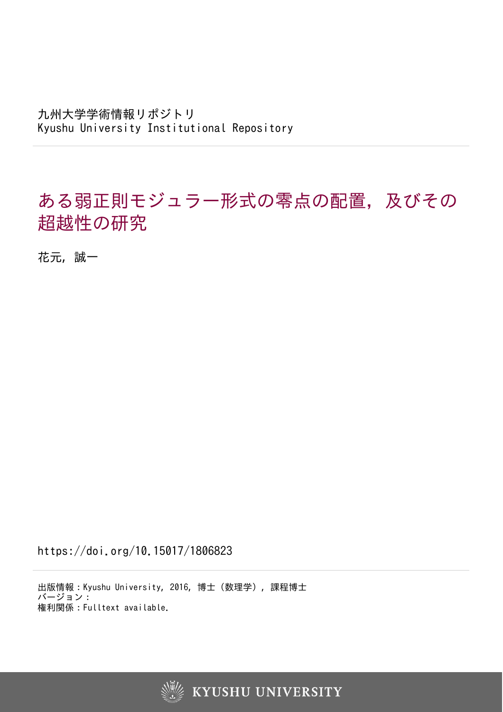九州大学学術情報リポジトリ Kyushu University Institutional Repository

# ある弱正則モジュラー形式の零点の配置,及びその 超越性の研究

花元, 誠一

https://doi.org/10.15017/1806823

出版情報:Kyushu University, 2016, 博士(数理学), 課程博士 バージョン: 権利関係:Fulltext available.



**KYUSHU UNIVERSITY**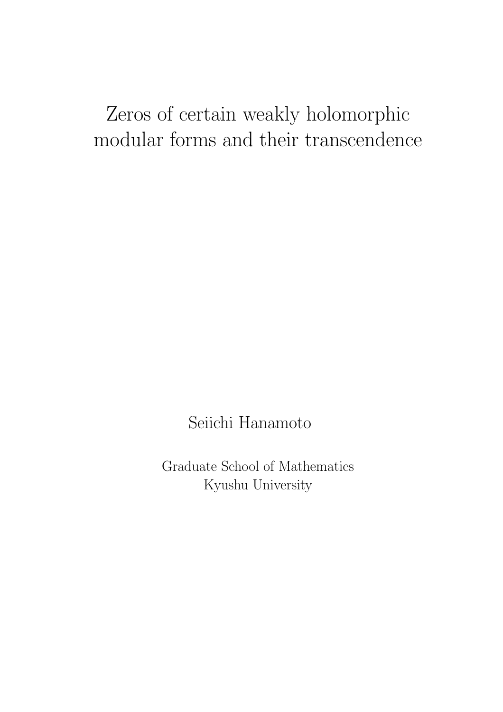# Zeros of certain weakly holomorphic modular forms and their transcendence

Seiichi Hanamoto

Graduate School of Mathematics Kyushu University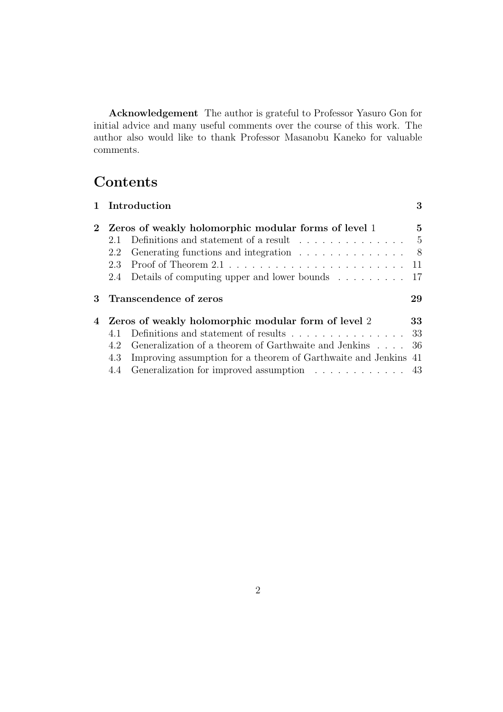**Acknowledgement** The author is grateful to Professor Yasuro Gon for initial advice and many useful comments over the course of this work. The author also would like to thank Professor Masanobu Kaneko for valuable comments.

## **Contents**

|             |                                                       | 1 Introduction                                                               | 3            |  |  |  |
|-------------|-------------------------------------------------------|------------------------------------------------------------------------------|--------------|--|--|--|
| $2^{\circ}$ |                                                       | Zeros of weakly holomorphic modular forms of level 1                         | $\mathbf{5}$ |  |  |  |
|             | 2.1                                                   | Definitions and statement of a result $\ldots \ldots \ldots \ldots$          | $-5$         |  |  |  |
|             | 2.2                                                   |                                                                              | - 8          |  |  |  |
|             | 2.3                                                   |                                                                              |              |  |  |  |
|             | 2.4                                                   | Details of computing upper and lower bounds $\ldots \ldots \ldots$ 17        |              |  |  |  |
| 3           |                                                       | Transcendence of zeros                                                       | 29           |  |  |  |
|             | 4 Zeros of weakly holomorphic modular form of level 2 |                                                                              |              |  |  |  |
|             |                                                       |                                                                              | 33           |  |  |  |
|             |                                                       | Definitions and statement of results $\ldots \ldots \ldots \ldots \ldots 33$ |              |  |  |  |
|             | 4.2                                                   | Generalization of a theorem of Garthwaite and Jenkins                        | -36          |  |  |  |
|             | 4.3                                                   | Improving assumption for a theorem of Garthwaite and Jenkins 41              |              |  |  |  |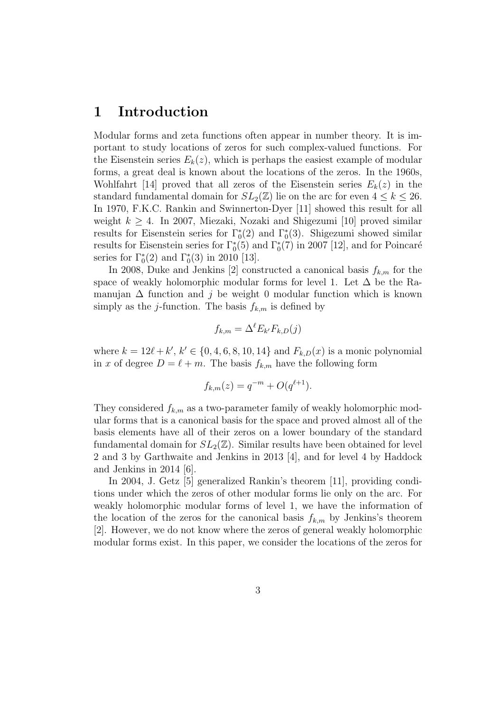## **1 Introduction**

Modular forms and zeta functions often appear in number theory. It is important to study locations of zeros for such complex-valued functions. For the Eisenstein series  $E_k(z)$ , which is perhaps the easiest example of modular forms, a great deal is known about the locations of the zeros. In the 1960s, Wohlfahrt [14] proved that all zeros of the Eisenstein series  $E_k(z)$  in the standard fundamental domain for  $SL_2(\mathbb{Z})$  lie on the arc for even  $4 \leq k \leq 26$ . In 1970, F.K.C. Rankin and Swinnerton-Dyer [11] showed this result for all weight *k ≥* 4. In 2007, Miezaki, Nozaki and Shigezumi [10] proved similar results for Eisenstein series for  $\Gamma_0^*(2)$  and  $\Gamma_0^*(3)$ . Shigezumi showed similar results for Eisenstein series for  $\Gamma^*_0(5)$  and  $\Gamma^*_0(7)$  in 2007 [12], and for Poincaré series for  $\Gamma_0^*(2)$  and  $\Gamma_0^*(3)$  in 2010 [13].

In 2008, Duke and Jenkins [2] constructed a canonical basis  $f_{k,m}$  for the space of weakly holomorphic modular forms for level 1. Let  $\Delta$  be the Ramanujan  $\Delta$  function and *j* be weight 0 modular function which is known simply as the *j*-function. The basis  $f_{k,m}$  is defined by

$$
f_{k,m} = \Delta^{\ell} E_{k'} F_{k,D}(j)
$$

where  $k = 12\ell + k'$ ,  $k' \in \{0, 4, 6, 8, 10, 14\}$  and  $F_{k,D}(x)$  is a monic polynomial in *x* of degree  $D = \ell + m$ . The basis  $f_{k,m}$  have the following form

$$
f_{k,m}(z) = q^{-m} + O(q^{\ell+1}).
$$

They considered *fk,m* as a two-parameter family of weakly holomorphic modular forms that is a canonical basis for the space and proved almost all of the basis elements have all of their zeros on a lower boundary of the standard fundamental domain for  $SL_2(\mathbb{Z})$ . Similar results have been obtained for level 2 and 3 by Garthwaite and Jenkins in 2013 [4], and for level 4 by Haddock and Jenkins in 2014 [6].

In 2004, J. Getz [5] generalized Rankin's theorem [11], providing conditions under which the zeros of other modular forms lie only on the arc. For weakly holomorphic modular forms of level 1, we have the information of the location of the zeros for the canonical basis  $f_{k,m}$  by Jenkins's theorem [2]. However, we do not know where the zeros of general weakly holomorphic modular forms exist. In this paper, we consider the locations of the zeros for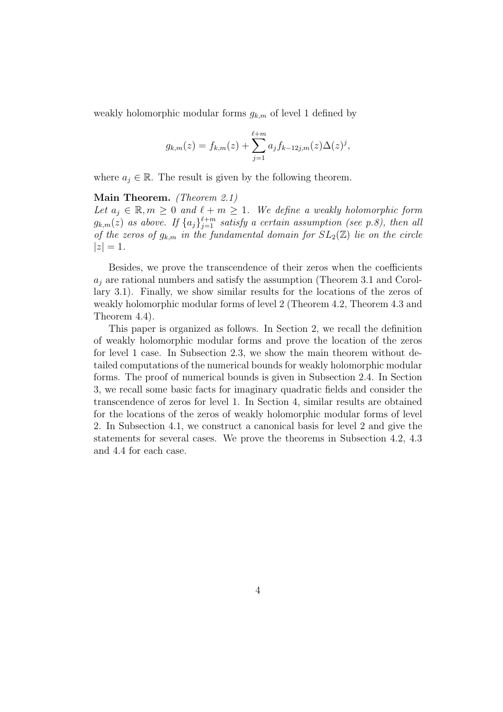weakly holomorphic modular forms  $g_{k,m}$  of level 1 defined by

$$
g_{k,m}(z) = f_{k,m}(z) + \sum_{j=1}^{\ell+m} a_j f_{k-12j,m}(z) \Delta(z)^j,
$$

where  $a_j \in \mathbb{R}$ . The result is given by the following theorem.

#### **Main Theorem.** *(Theorem 2.1)*

*Let*  $a_j \in \mathbb{R}, m \geq 0$  and  $\ell + m \geq 1$ . We define a weakly holomorphic form  $g_{k,m}(z)$  *as above. If*  $\{a_j\}_{j=1}^{\ell+m}$  *satisfy a certain assumption (see p.8), then all of the zeros of*  $g_{k,m}$  *in the fundamental domain for*  $SL_2(\mathbb{Z})$  *lie on the circle*  $|z| = 1$ .

Besides, we prove the transcendence of their zeros when the coefficients  $a_j$  are rational numbers and satisfy the assumption (Theorem 3.1 and Corollary 3.1). Finally, we show similar results for the locations of the zeros of weakly holomorphic modular forms of level 2 (Theorem 4.2, Theorem 4.3 and Theorem 4.4).

This paper is organized as follows. In Section 2, we recall the definition of weakly holomorphic modular forms and prove the location of the zeros for level 1 case. In Subsection 2.3, we show the main theorem without detailed computations of the numerical bounds for weakly holomorphic modular forms. The proof of numerical bounds is given in Subsection 2.4. In Section 3, we recall some basic facts for imaginary quadratic fields and consider the transcendence of zeros for level 1. In Section 4, similar results are obtained for the locations of the zeros of weakly holomorphic modular forms of level 2. In Subsection 4.1, we construct a canonical basis for level 2 and give the statements for several cases. We prove the theorems in Subsection 4.2, 4.3 and 4.4 for each case.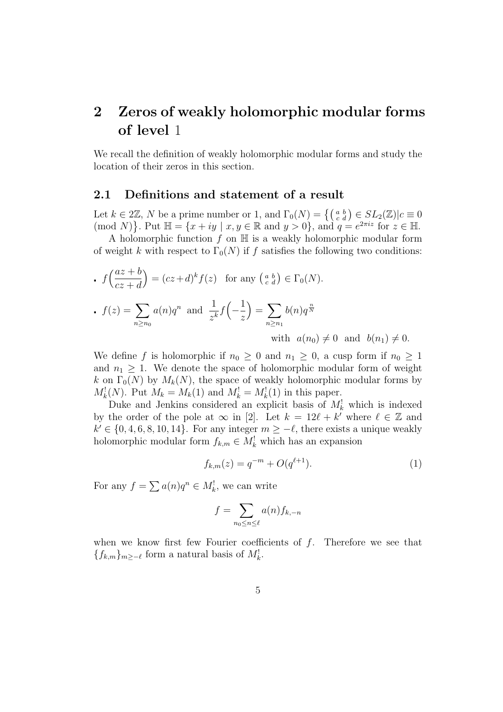# **2 Zeros of weakly holomorphic modular forms of level** 1

We recall the definition of weakly holomorphic modular forms and study the location of their zeros in this section.

#### **2.1 Definitions and statement of a result**

Let  $k \in 2\mathbb{Z}$ , *N* be a prime number or 1, and  $\Gamma_0(N) = \{ \begin{pmatrix} a & b \\ c & d \end{pmatrix} \in SL_2(\mathbb{Z}) | c \equiv 0 \}$  $\{(\text{mod } N)\}\$ . Put  $\mathbb{H} = \{x + iy \mid x, y \in \mathbb{R} \text{ and } y > 0\}$ , and  $q = e^{2\pi i z}$  for  $z \in \mathbb{H}$ .

A holomorphic function *f* on H is a weakly holomorphic modular form of weight *k* with respect to  $\Gamma_0(N)$  if *f* satisfies the following two conditions:

\n- \n
$$
f\left(\frac{az+b}{cz+d}\right) = (cz+d)^k f(z) \quad \text{for any } \left(\begin{matrix} a & b \\ c & d \end{matrix}\right) \in \Gamma_0(N).
$$
\n
\n- \n
$$
f(z) = \sum_{n \ge n_0} a(n) q^n \quad \text{and} \quad \frac{1}{z^k} f\left(-\frac{1}{z}\right) = \sum_{n \ge n_1} b(n) q^{\frac{n}{N}}
$$
\n with\n 
$$
a(n_0) \neq 0 \quad \text{and} \quad b(n_1) \neq 0.
$$
\n
\n

We define f is holomorphic if  $n_0 \geq 0$  and  $n_1 \geq 0$ , a cusp form if  $n_0 \geq 1$ and  $n_1 \geq 1$ . We denote the space of holomorphic modular form of weight *k* on  $\Gamma_0(N)$  by  $M_k(N)$ , the space of weakly holomorphic modular forms by  $M_k^!(N)$ . Put  $M_k = M_k(1)$  and  $M_k^! = M_k^!(1)$  in this paper.

Duke and Jenkins considered an explicit basis of  $M_k^!$  which is indexed by the order of the pole at  $\infty$  in [2]. Let  $k = 12\ell + k'$  where  $\ell \in \mathbb{Z}$  and  $k' \in \{0, 4, 6, 8, 10, 14\}$ . For any integer  $m \geq -\ell$ , there exists a unique weakly holomorphic modular form  $f_{k,m} \in M_k^!$  which has an expansion

$$
f_{k,m}(z) = q^{-m} + O(q^{\ell+1}).
$$
\n(1)

For any  $f = \sum a(n)q^n \in M_k^!$ , we can write

$$
f = \sum_{n_0 \le n \le \ell} a(n) f_{k,-n}
$$

when we know first few Fourier coefficients of *f*. Therefore we see that  ${f_{k,m}}_{m≥−\ell}$  form a natural basis of  $M_k^!$ .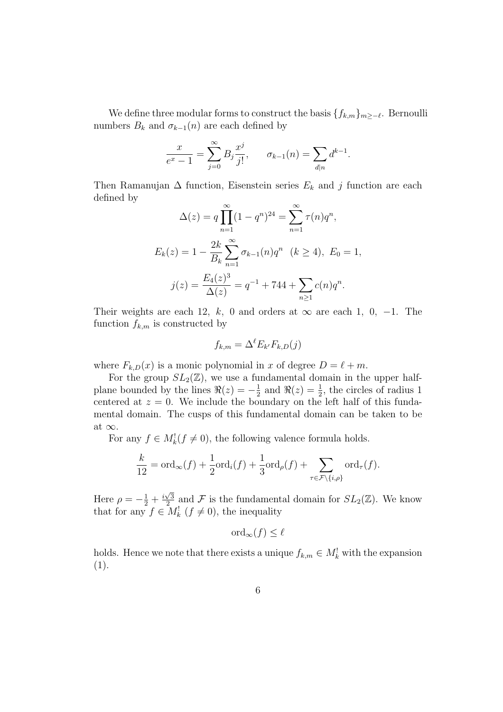We define three modular forms to construct the basis *{fk,m}<sup>m</sup>≥−<sup>ℓ</sup>* . Bernoulli numbers  $B_k$  and  $\sigma_{k-1}(n)$  are each defined by

$$
\frac{x}{e^x - 1} = \sum_{j=0}^{\infty} B_j \frac{x^j}{j!}, \qquad \sigma_{k-1}(n) = \sum_{d|n} d^{k-1}.
$$

Then Ramanujan  $\Delta$  function, Eisenstein series  $E_k$  and *j* function are each defined by

$$
\Delta(z) = q \prod_{n=1}^{\infty} (1 - q^n)^{24} = \sum_{n=1}^{\infty} \tau(n) q^n,
$$
  
\n
$$
E_k(z) = 1 - \frac{2k}{B_k} \sum_{n=1}^{\infty} \sigma_{k-1}(n) q^n \quad (k \ge 4), \ E_0 = 1,
$$
  
\n
$$
j(z) = \frac{E_4(z)^3}{\Delta(z)} = q^{-1} + 744 + \sum_{n \ge 1} c(n) q^n.
$$

Their weights are each 12*, k,* 0 and orders at  $\infty$  are each 1*,* 0*,* −1. The function  $f_{k,m}$  is constructed by

$$
f_{k,m} = \Delta^{\ell} E_{k'} F_{k,D}(j)
$$

where  $F_{k,D}(x)$  is a monic polynomial in *x* of degree  $D = \ell + m$ .

For the group  $SL_2(\mathbb{Z})$ , we use a fundamental domain in the upper halfplane bounded by the lines  $\Re(z) = -\frac{1}{2}$  $\frac{1}{2}$  and  $\Re(z) = \frac{1}{2}$ , the circles of radius 1 centered at  $z = 0$ . We include the boundary on the left half of this fundamental domain. The cusps of this fundamental domain can be taken to be at *∞*.

For any  $f \in M_k^!(f \neq 0)$ , the following valence formula holds.

$$
\frac{k}{12} = \text{ord}_{\infty}(f) + \frac{1}{2}\text{ord}_{i}(f) + \frac{1}{3}\text{ord}_{\rho}(f) + \sum_{\tau \in \mathcal{F} \setminus \{i,\rho\}} \text{ord}_{\tau}(f).
$$

Here  $\rho = -\frac{1}{2} + \frac{i\sqrt{3}}{2}$  $\frac{\sqrt{3}}{2}$  and F is the fundamental domain for  $SL_2(\mathbb{Z})$ . We know that for any  $f \in M_k^!$   $(f \neq 0)$ , the inequality

$$
\text{ord}_{\infty}(f) \le \ell
$$

holds. Hence we note that there exists a unique  $f_{k,m} \in M_k^!$  with the expansion (1).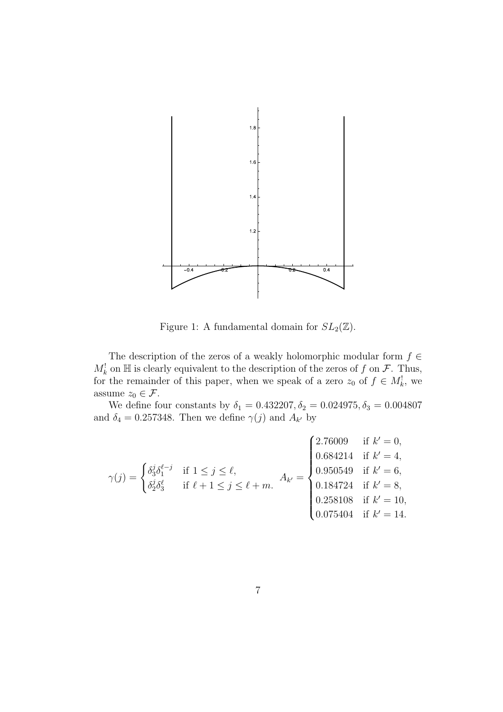

Figure 1: A fundamental domain for  $SL_2(\mathbb{Z})$ .

The description of the zeros of a weakly holomorphic modular form  $f \in$  $M_k^!$  on  $\mathbb H$  is clearly equivalent to the description of the zeros of *f* on *F*. Thus, for the remainder of this paper, when we speak of a zero  $z_0$  of  $f \in M_k^!$ , we assume  $z_0 \in \mathcal{F}$ .

We define four constants by  $\delta_1 = 0.432207, \delta_2 = 0.024975, \delta_3 = 0.004807$ and  $\delta_4 = 0.257348$ . Then we define  $\gamma(j)$  and  $A_{k'}$  by

$$
\gamma(j) = \begin{cases} \delta_3^j \delta_1^{\ell-j} & \text{if } 1 \le j \le \ell, \\ \delta_2^j \delta_3^{\ell} & \text{if } \ell + 1 \le j \le \ell + m. \end{cases} A_{k'} = \begin{cases} 2.76009 & \text{if } k' = 0, \\ 0.684214 & \text{if } k' = 4, \\ 0.950549 & \text{if } k' = 6, \\ 0.184724 & \text{if } k' = 8, \\ 0.258108 & \text{if } k' = 10, \\ 0.075404 & \text{if } k' = 14. \end{cases}
$$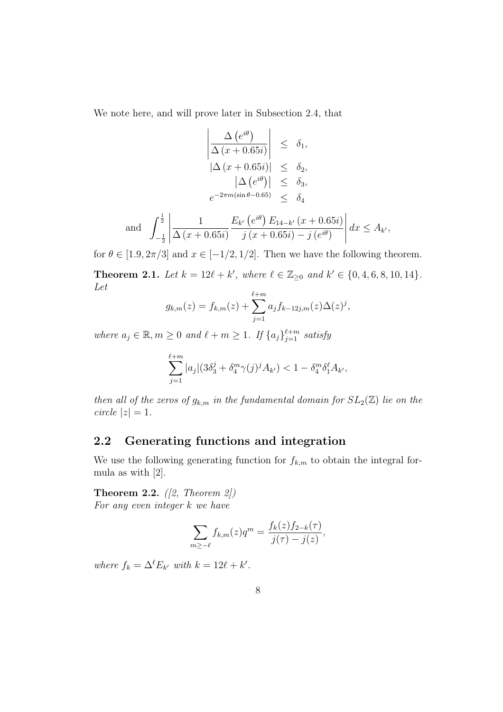We note here, and will prove later in Subsection 2.4, that

$$
\left|\frac{\Delta (e^{i\theta})}{\Delta (x+0.65i)}\right| \leq \delta_1,
$$
  
\n
$$
\left|\Delta (x+0.65i)\right| \leq \delta_2,
$$
  
\n
$$
\left|\Delta (e^{i\theta})\right| \leq \delta_3,
$$
  
\n
$$
e^{-2\pi m(\sin \theta - 0.65)} \leq \delta_4
$$
  
\n
$$
\left|\frac{1}{2}\right| \qquad 1 \qquad E_{k'}(e^{i\theta}) E_{14-k'}(x+0.65i)
$$

and 
$$
\int_{-\frac{1}{2}}^{\frac{1}{2}} \left| \frac{1}{\Delta(x+0.65i)} \frac{E_{k'}(e^{i\theta}) E_{14-k'}(x+0.65i)}{j(x+0.65i) - j(e^{i\theta})} \right| dx \le A_{k'},
$$

for  $\theta \in [1.9, 2\pi/3]$  and  $x \in [-1/2, 1/2]$ . Then we have the following theorem.

**Theorem 2.1.** Let  $k = 12\ell + k'$ , where  $\ell \in \mathbb{Z}_{\geq 0}$  and  $k' \in \{0, 4, 6, 8, 10, 14\}$ . *Let*

$$
g_{k,m}(z) = f_{k,m}(z) + \sum_{j=1}^{\ell+m} a_j f_{k-12j,m}(z) \Delta(z)^j,
$$

*where*  $a_j \in \mathbb{R}, m \geq 0$  *and*  $\ell + m \geq 1$ *. If*  $\{a_j\}_{j=1}^{\ell+m}$  *satisfy* 

$$
\sum_{j=1}^{\ell+m} |a_j| (3\delta_3^j + \delta_4^m \gamma(j)^j A_{k'}) < 1 - \delta_4^m \delta_1^{\ell} A_{k'},
$$

*then all of the zeros of*  $g_{k,m}$  *in the fundamental domain for*  $SL_2(\mathbb{Z})$  *lie on the*  $circle |z| = 1$ .

#### **2.2 Generating functions and integration**

We use the following generating function for  $f_{k,m}$  to obtain the integral formula as with [2].

**Theorem 2.2.** *([2, Theorem 2]) For any even integer k we have*

$$
\sum_{m \ge -\ell} f_{k,m}(z)q^m = \frac{f_k(z)f_{2-k}(\tau)}{j(\tau) - j(z)},
$$

*where*  $f_k = \Delta^\ell E_{k'}$  *with*  $k = 12\ell + k'.$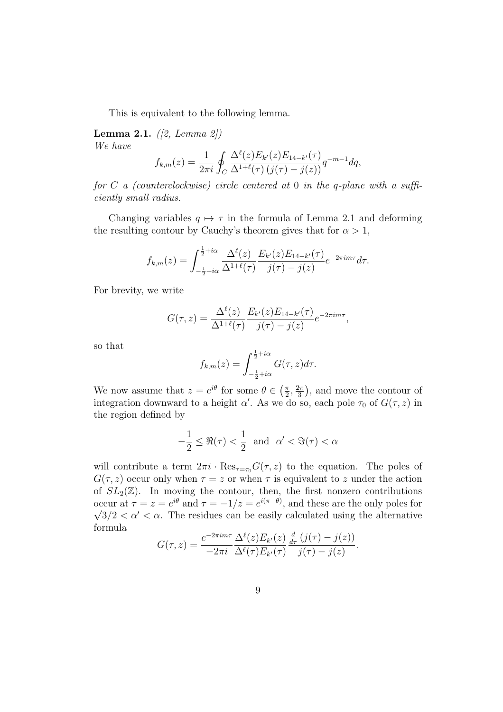This is equivalent to the following lemma.

**Lemma 2.1.** *([2, Lemma 2]) We have*

$$
f_{k,m}(z) = \frac{1}{2\pi i} \oint_C \frac{\Delta^{\ell}(z) E_{k'}(z) E_{14-k'}(\tau)}{\Delta^{1+\ell}(\tau) (j(\tau) - j(z))} q^{-m-1} dq,
$$

*for C a (counterclockwise) circle centered at* 0 *in the q-plane with a sufficiently small radius.*

Changing variables  $q \mapsto \tau$  in the formula of Lemma 2.1 and deforming the resulting contour by Cauchy's theorem gives that for  $\alpha > 1$ ,

$$
f_{k,m}(z) = \int_{-\frac{1}{2}+i\alpha}^{\frac{1}{2}+i\alpha} \frac{\Delta^{\ell}(z)}{\Delta^{1+\ell}(\tau)} \frac{E_{k'}(z)E_{14-k'}(\tau)}{j(\tau)-j(z)} e^{-2\pi im\tau} d\tau.
$$

For brevity, we write

$$
G(\tau, z) = \frac{\Delta^{\ell}(z)}{\Delta^{1+\ell}(\tau)} \frac{E_{k'}(z)E_{14-k'}(\tau)}{j(\tau) - j(z)} e^{-2\pi i m \tau}
$$

*,*

so that

$$
f_{k,m}(z) = \int_{-\frac{1}{2} + i\alpha}^{\frac{1}{2} + i\alpha} G(\tau, z) d\tau.
$$

We now assume that  $z = e^{i\theta}$  for some  $\theta \in \left(\frac{\pi}{2}\right)$  $\frac{\pi}{2}, \frac{2\pi}{3}$  $\frac{2\pi}{3}$ , and move the contour of integration downward to a height *α'*. As we do so, each pole  $\tau_0$  of  $G(\tau, z)$  in the region defined by

$$
-\frac{1}{2} \le \Re(\tau) < \frac{1}{2} \quad \text{and} \quad \alpha' < \Im(\tau) < \alpha
$$

will contribute a term  $2\pi i \cdot \text{Res}_{\tau=\tau_0} G(\tau,z)$  to the equation. The poles of  $G(\tau, z)$  occur only when  $\tau = z$  or when  $\tau$  is equivalent to *z* under the action of  $SL_2(\mathbb{Z})$ . In moving the contour, then, the first nonzero contributions occur at  $\tau = z = e^{i\theta}$  and  $\tau = -1/z = e^{i(\pi - \theta)}$ , and these are the only poles for  $\sqrt{3}/2 < \alpha' < \alpha$ . The residues can be easily calculated using the alternative formula

$$
G(\tau,z) = \frac{e^{-2\pi im\tau}}{-2\pi i} \frac{\Delta^{\ell}(z) E_{k'}(z)}{\Delta^{\ell}(\tau) E_{k'}(\tau)} \frac{\frac{d}{d\tau} (j(\tau) - j(z))}{j(\tau) - j(z)}.
$$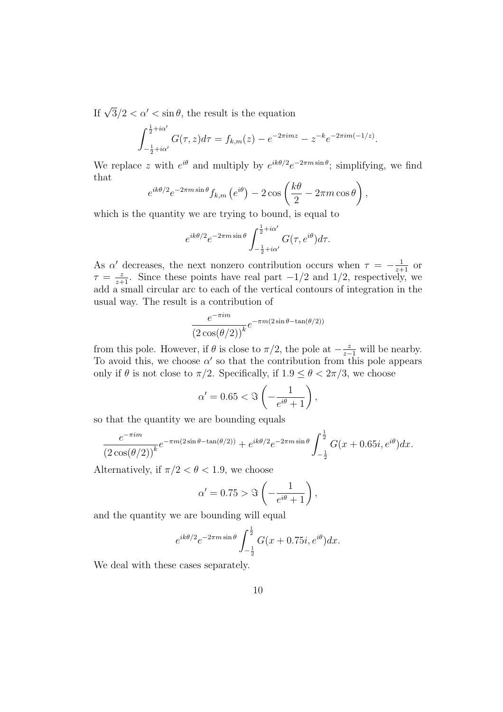If  $\sqrt{3}/2 < \alpha' < \sin \theta$ , the result is the equation

$$
\int_{-\frac{1}{2}+i\alpha'}^{\frac{1}{2}+i\alpha'} G(\tau,z)d\tau = f_{k,m}(z) - e^{-2\pi imz} - z^{-k}e^{-2\pi im(-1/z)}.
$$

We replace *z* with  $e^{i\theta}$  and multiply by  $e^{ik\theta/2}e^{-2\pi m \sin \theta}$ ; simplifying, we find that

$$
e^{ik\theta/2}e^{-2\pi m\sin\theta}f_{k,m}\left(e^{i\theta}\right)-2\cos\left(\frac{k\theta}{2}-2\pi m\cos\theta\right),\,
$$

which is the quantity we are trying to bound, is equal to

$$
e^{ik\theta/2}e^{-2\pi m\sin\theta}\int_{-\frac{1}{2}+i\alpha'}^{\frac{1}{2}+i\alpha'}G(\tau,e^{i\theta})d\tau.
$$

As  $\alpha'$  decreases, the next nonzero contribution occurs when  $\tau = -\frac{1}{z+1}$  or  $\tau = \frac{z}{z+1}$ . Since these points have real part *−*1*/*2 and 1*/*2, respectively, we add a small circular arc to each of the vertical contours of integration in the usual way. The result is a contribution of

$$
\frac{e^{-\pi im}}{(2\cos(\theta/2))^k}e^{-\pi m(2\sin\theta-\tan(\theta/2))}
$$

from this pole. However, if  $\theta$  is close to  $\pi/2$ , the pole at  $-\frac{z}{z-1}$  will be nearby. To avoid this, we choose  $\alpha'$  so that the contribution from this pole appears only if  $\theta$  is not close to  $\pi/2$ . Specifically, if  $1.9 \leq \theta < 2\pi/3$ , we choose

$$
\alpha' = 0.65 < \Im\left(-\frac{1}{e^{i\theta} + 1}\right),
$$

so that the quantity we are bounding equals

$$
\frac{e^{-\pi im}}{(2\cos(\theta/2))^k}e^{-\pi m(2\sin\theta-\tan(\theta/2))}+e^{ik\theta/2}e^{-2\pi m\sin\theta}\int_{-\frac{1}{2}}^{\frac{1}{2}}G(x+0.65i,e^{i\theta})dx.
$$

Alternatively, if  $\pi/2 < \theta < 1.9$ , we choose

$$
\alpha' = 0.75 > \Im\left(-\frac{1}{e^{i\theta} + 1}\right),\,
$$

and the quantity we are bounding will equal

$$
e^{ik\theta/2}e^{-2\pi m\sin\theta}\int_{-\frac{1}{2}}^{\frac{1}{2}}G(x+0.75i,e^{i\theta})dx.
$$

We deal with these cases separately.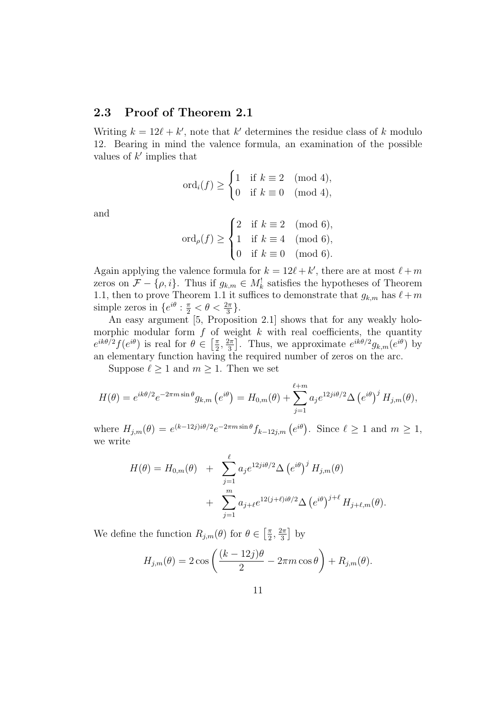#### **2.3 Proof of Theorem 2.1**

Writing  $k = 12\ell + k'$ , note that  $k'$  determines the residue class of  $k$  modulo 12. Bearing in mind the valence formula, an examination of the possible values of *k ′* implies that

$$
\mathrm{ord}_i(f) \ge \begin{cases} 1 & \text{if } k \equiv 2 \pmod{4}, \\ 0 & \text{if } k \equiv 0 \pmod{4}, \end{cases}
$$

and

$$
ord_{\rho}(f) \ge \begin{cases} 2 & \text{if } k \equiv 2 \pmod{6}, \\ 1 & \text{if } k \equiv 4 \pmod{6}, \\ 0 & \text{if } k \equiv 0 \pmod{6}. \end{cases}
$$

Again applying the valence formula for  $k = 12\ell + k'$ , there are at most  $\ell + m$ zeros on  $\mathcal{F} - \{\rho, i\}$ . Thus if  $g_{k,m} \in M_k^!$  satisfies the hypotheses of Theorem 1.1, then to prove Theorem 1.1 it suffices to demonstrate that  $g_{k,m}$  has  $\ell+m$ simple zeros in  $\{e^{i\theta} : \frac{\pi}{2} < \theta < \frac{2\pi}{3}\}.$ 

An easy argument [5, Proposition 2.1] shows that for any weakly holomorphic modular form  $f$  of weight  $k$  with real coefficients, the quantity  $e^{ik\theta/2} f(e^{i\theta})$  is real for  $\theta \in \left[\frac{\pi}{2}\right]$  $\frac{\pi}{2}, \frac{2\pi}{3}$  $\left[\frac{2\pi}{3}\right]$ . Thus, we approximate  $e^{ik\theta/2}g_{k,m}(e^{i\theta})$  by an elementary function having the required number of zeros on the arc.

Suppose  $\ell \geq 1$  and  $m \geq 1$ . Then we set

$$
H(\theta) = e^{ik\theta/2} e^{-2\pi m \sin \theta} g_{k,m} (e^{i\theta}) = H_{0,m}(\theta) + \sum_{j=1}^{\ell+m} a_j e^{i2j\theta/2} \Delta (e^{i\theta})^j H_{j,m}(\theta),
$$

where  $H_{j,m}(\theta) = e^{(k-12j)i\theta/2}e^{-2\pi m \sin \theta} f_{k-12j,m} (e^{i\theta})$ . Since  $\ell \geq 1$  and  $m \geq 1$ , we write

$$
H(\theta) = H_{0,m}(\theta) + \sum_{j=1}^{\ell} a_j e^{i2ji\theta/2} \Delta (e^{i\theta})^j H_{j,m}(\theta)
$$
  
+ 
$$
\sum_{j=1}^m a_{j+\ell} e^{i2(j+\ell)i\theta/2} \Delta (e^{i\theta})^{j+\ell} H_{j+\ell,m}(\theta).
$$

We define the function  $R_{j,m}(\theta)$  for  $\theta \in \left[\frac{\pi}{2}\right]$  $\frac{\pi}{2}, \frac{2\pi}{3}$  $\frac{2\pi}{3}$  by

$$
H_{j,m}(\theta) = 2 \cos \left( \frac{(k-12j)\theta}{2} - 2\pi m \cos \theta \right) + R_{j,m}(\theta).
$$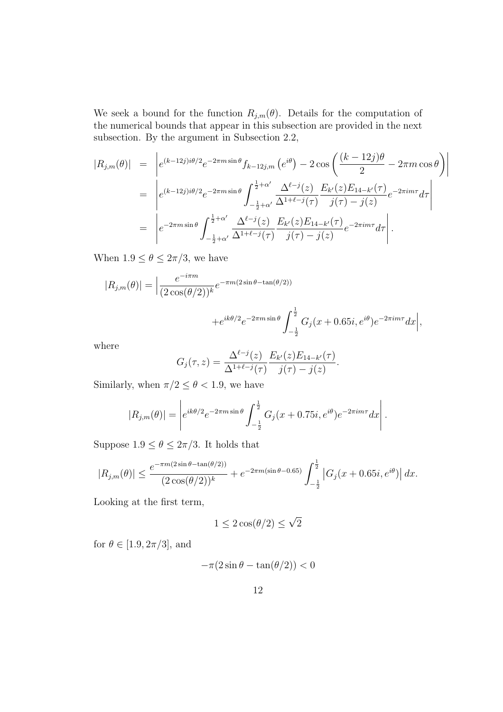We seek a bound for the function  $R_{j,m}(\theta)$ . Details for the computation of the numerical bounds that appear in this subsection are provided in the next subsection. By the argument in Subsection 2.2,

$$
|R_{j,m}(\theta)| = \left| e^{(k-12j)i\theta/2} e^{-2\pi m \sin \theta} f_{k-12j,m} \left( e^{i\theta} \right) - 2 \cos \left( \frac{(k-12j)\theta}{2} - 2\pi m \cos \theta \right) \right|
$$
  
\n
$$
= \left| e^{(k-12j)i\theta/2} e^{-2\pi m \sin \theta} \int_{-\frac{1}{2}+\alpha'}^{\frac{1}{2}+\alpha'} \frac{\Delta^{\ell-j}(z)}{\Delta^{1+\ell-j}(\tau)} \frac{E_{k'}(z)E_{14-k'}(\tau)}{j(\tau) - j(z)} e^{-2\pi i m \tau} d\tau \right|
$$
  
\n
$$
= \left| e^{-2\pi m \sin \theta} \int_{-\frac{1}{2}+\alpha'}^{\frac{1}{2}+\alpha'} \frac{\Delta^{\ell-j}(z)}{\Delta^{1+\ell-j}(\tau)} \frac{E_{k'}(z)E_{14-k'}(\tau)}{j(\tau) - j(z)} e^{-2\pi i m \tau} d\tau \right|.
$$

When  $1.9 \le \theta \le 2\pi/3$ , we have

$$
|R_{j,m}(\theta)| = \left| \frac{e^{-i\pi m}}{(2\cos(\theta/2))^k} e^{-\pi m(2\sin\theta - \tan(\theta/2))} \right|
$$

$$
+e^{ik\theta/2}e^{-2\pi m\sin\theta}\int_{-\frac{1}{2}}^{\frac{1}{2}}G_j(x+0.65i,e^{i\theta})e^{-2\pi im\tau}dx\Big|,
$$

where

$$
G_j(\tau, z) = \frac{\Delta^{\ell-j}(z)}{\Delta^{1+\ell-j}(\tau)} \frac{E_{k'}(z)E_{14-k'}(\tau)}{j(\tau) - j(z)}.
$$

Similarly, when  $\pi/2 \leq \theta < 1.9$ , we have

$$
|R_{j,m}(\theta)| = \left| e^{ik\theta/2} e^{-2\pi m \sin \theta} \int_{-\frac{1}{2}}^{\frac{1}{2}} G_j(x+0.75i, e^{i\theta}) e^{-2\pi i m \tau} dx \right|.
$$

Suppose  $1.9 \le \theta \le 2\pi/3$ . It holds that

$$
|R_{j,m}(\theta)| \le \frac{e^{-\pi m (2\sin\theta - \tan(\theta/2))}}{(2\cos(\theta/2))^k} + e^{-2\pi m (\sin\theta - 0.65)} \int_{-\frac{1}{2}}^{\frac{1}{2}} |G_j(x+0.65i, e^{i\theta})| dx.
$$

Looking at the first term,

$$
1 \le 2\cos(\theta/2) \le \sqrt{2}
$$

for  $\theta \in [1.9, 2\pi/3]$ , and

$$
-\pi(2\sin\theta - \tan(\theta/2)) < 0
$$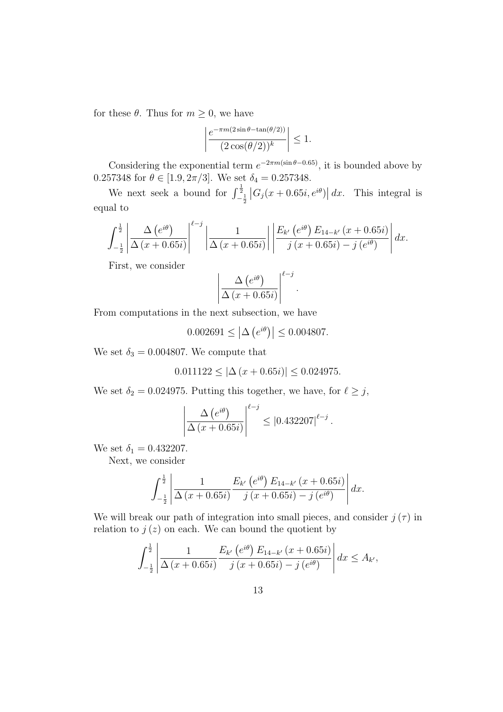for these  $\theta$ . Thus for  $m \geq 0$ , we have

$$
\left| \frac{e^{-\pi m (2\sin \theta - \tan(\theta/2))}}{(2\cos(\theta/2))^k} \right| \le 1.
$$

Considering the exponential term  $e^{-2\pi m(\sin \theta - 0.65)}$ , it is bounded above by 0.257348 for  $\theta \in [1.9, 2\pi/3]$ . We set  $\delta_4 = 0.257348$ .

We next seek a bound for  $\int_{-\frac{1}{2}}^{\frac{1}{2}} |G_j(x+0.65i, e^{i\theta})| dx$ . This integral is equal to

$$
\int_{-\frac{1}{2}}^{\frac{1}{2}} \left| \frac{\Delta(e^{i\theta})}{\Delta(x+0.65i)} \right|^{l-j} \left| \frac{1}{\Delta(x+0.65i)} \right| \left| \frac{E_{k'}(e^{i\theta}) E_{14-k'}(x+0.65i)}{j(x+0.65i) - j(e^{i\theta})} \right| dx.
$$

First, we consider

$$
\left|\frac{\Delta (e^{i\theta})}{\Delta (x+0.65i)}\right|^{\ell-j}.
$$

From computations in the next subsection, we have

 $0.002691 \le |\Delta(e^{i\theta})| \le 0.004807.$ 

We set  $\delta_3 = 0.004807$ . We compute that

$$
0.011122 \le |\Delta (x + 0.65i)| \le 0.024975.
$$

We set  $\delta_2 = 0.024975$ . Putting this together, we have, for  $\ell \geq j$ ,

$$
\left| \frac{\Delta (e^{i\theta})}{\Delta (x+0.65i)} \right|^{ \ell-j} \leq |0.432207|^{\ell-j}.
$$

We set  $\delta_1 = 0.432207$ .

Next, we consider

$$
\int_{-\frac{1}{2}}^{\frac{1}{2}} \left| \frac{1}{\Delta(x+0.65i)} \frac{E_{k'}(e^{i\theta}) E_{14-k'}(x+0.65i)}{j(x+0.65i) - j(e^{i\theta})} \right| dx.
$$

We will break our path of integration into small pieces, and consider  $j(\tau)$  in relation to  $j(z)$  on each. We can bound the quotient by

$$
\int_{-\frac{1}{2}}^{\frac{1}{2}} \left| \frac{1}{\Delta(x+0.65i)} \frac{E_{k'}\left(e^{i\theta}\right) E_{14-k'}\left(x+0.65i\right)}{j\left(x+0.65i\right)-j\left(e^{i\theta}\right)} \right| dx \leq A_{k'},
$$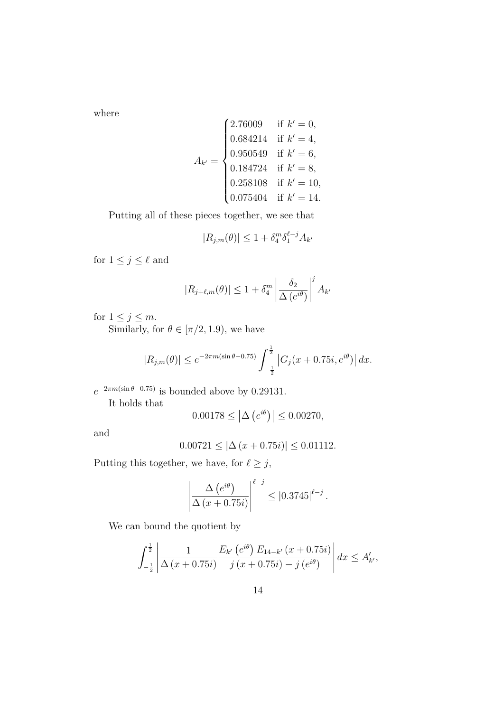where

$$
A_{k'} = \begin{cases} 2.76009 & \text{if } k' = 0, \\ 0.684214 & \text{if } k' = 4, \\ 0.950549 & \text{if } k' = 6, \\ 0.184724 & \text{if } k' = 8, \\ 0.258108 & \text{if } k' = 10, \\ 0.075404 & \text{if } k' = 14. \end{cases}
$$

Putting all of these pieces together, we see that

$$
|R_{j,m}(\theta)| \le 1 + \delta_4^m \delta_1^{\ell - j} A_{k'}
$$

for  $1 \leq j \leq \ell$  and

$$
|R_{j+\ell,m}(\theta)| \le 1 + \delta_4^m \left| \frac{\delta_2}{\Delta(e^{i\theta})} \right|^j A_{k'}
$$

for  $1 \leq j \leq m$ .

Similarly, for  $\theta \in [\pi/2, 1.9)$ , we have

$$
|R_{j,m}(\theta)| \le e^{-2\pi m(\sin\theta - 0.75)} \int_{-\frac{1}{2}}^{\frac{1}{2}} |G_j(x + 0.75i, e^{i\theta})| dx.
$$

 $e^{-2\pi m(\sin \theta - 0.75)}$  is bounded above by 0.29131.

It holds that

$$
0.00178 \le |\Delta (e^{i\theta})| \le 0.00270,
$$

and

$$
0.00721 \le |\Delta (x + 0.75i)| \le 0.01112.
$$

Putting this together, we have, for  $\ell \geq j$ ,

$$
\left| \frac{\Delta (e^{i\theta})}{\Delta (x+0.75i)} \right|^{ \ell-j} \leq |0.3745|^{\ell-j}.
$$

We can bound the quotient by

$$
\int_{-\frac{1}{2}}^{\frac{1}{2}} \left| \frac{1}{\Delta(x+0.75i)} \frac{E_{k'}\left(e^{i\theta}\right) E_{14-k'}\left(x+0.75i\right)}{j\left(x+0.75i\right)-j\left(e^{i\theta}\right)} \right| dx \le A'_{k'},
$$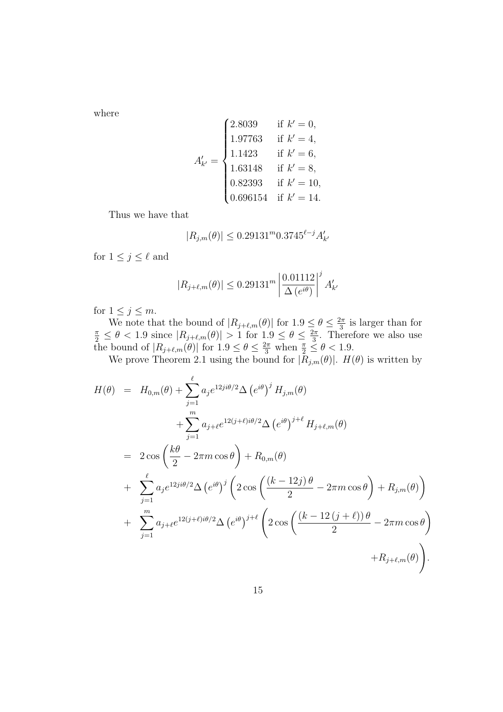where

$$
A'_{k'} = \begin{cases} 2.8039 & \text{if } k' = 0, \\ 1.97763 & \text{if } k' = 4, \\ 1.1423 & \text{if } k' = 6, \\ 1.63148 & \text{if } k' = 8, \\ 0.82393 & \text{if } k' = 10, \\ 0.696154 & \text{if } k' = 14. \end{cases}
$$

Thus we have that

$$
|R_{j,m}(\theta)| \le 0.29131^m 0.3745^{\ell-j} A'_{k'}
$$

for  $1 \leq j \leq \ell$  and

$$
|R_{j+\ell,m}(\theta)| \leq 0.29131^m \left| \frac{0.01112}{\Delta(e^{i\theta})} \right|^j A'_{k'}
$$

for  $1 \leq j \leq m$ .

We note that the bound of  $|R_{j+\ell,m}(\theta)|$  for  $1.9 \leq \theta \leq \frac{2\pi}{3}$  $\frac{2\pi}{3}$  is larger than for  $\frac{\pi}{2} \leq \theta < 1.9$  since  $|R_{j+\ell,m}(\theta)| > 1$  for  $1.9 \leq \theta \leq \frac{2\pi}{3}$  $\frac{2\pi}{3}$ . Therefore we also use the bound of  $|R_{j+\ell,m}(\theta)|$  for  $1.9 \leq \theta \leq \frac{2\pi}{3}$  when  $\frac{\pi}{2} \leq \theta < 1.9$ .

We prove Theorem 2.1 using the bound for  $|R_{j,m}(\theta)|$ .  $H(\theta)$  is written by

$$
H(\theta) = H_{0,m}(\theta) + \sum_{j=1}^{\ell} a_j e^{i2j\theta/2} \Delta (e^{i\theta})^j H_{j,m}(\theta)
$$
  
+ 
$$
\sum_{j=1}^m a_{j+\ell} e^{i2(j+\ell)i\theta/2} \Delta (e^{i\theta})^{j+\ell} H_{j+\ell,m}(\theta)
$$
  
= 
$$
2 \cos \left(\frac{k\theta}{2} - 2\pi m \cos \theta\right) + R_{0,m}(\theta)
$$
  
+ 
$$
\sum_{j=1}^{\ell} a_j e^{i2j\theta/2} \Delta (e^{i\theta})^j \left(2 \cos \left(\frac{(k-12j)\theta}{2} - 2\pi m \cos \theta\right) + R_{j,m}(\theta)\right)
$$
  
+ 
$$
\sum_{j=1}^m a_{j+\ell} e^{i2(j+\ell)i\theta/2} \Delta (e^{i\theta})^{j+\ell} \left(2 \cos \left(\frac{(k-12(j+\ell))\theta}{2} - 2\pi m \cos \theta\right) + R_{j+\ell,m}(\theta)\right).
$$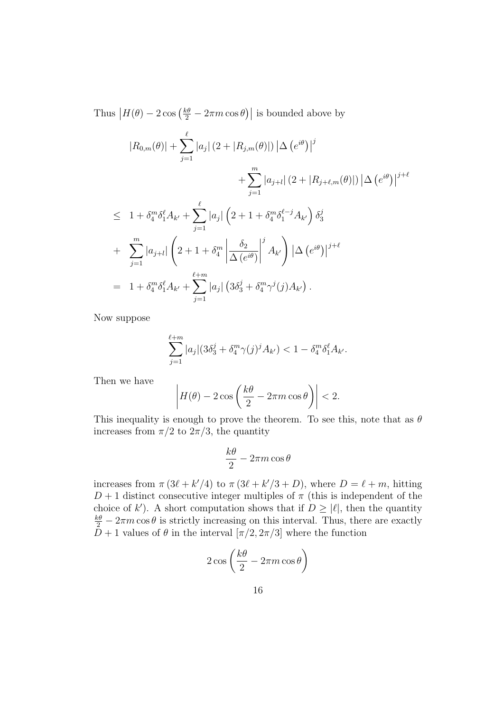Thus  $|H(\theta) - 2\cos(\frac{k\theta}{2} - 2\pi m \cos \theta)|$  is bounded above by

$$
|R_{0,m}(\theta)| + \sum_{j=1}^{\ell} |a_j| (2 + |R_{j,m}(\theta)|) |\Delta (e^{i\theta})|^j
$$
  
+ 
$$
\sum_{j=1}^{m} |a_{j+l}| (2 + |R_{j+\ell,m}(\theta)|) |\Delta (e^{i\theta})|^{j+\ell}
$$
  

$$
\leq 1 + \delta_4^m \delta_1^{\ell} A_{k'} + \sum_{j=1}^{\ell} |a_j| (2 + 1 + \delta_4^m \delta_1^{\ell-j} A_{k'}) \delta_3^j
$$
  
+ 
$$
\sum_{j=1}^{m} |a_{j+l}| (2 + 1 + \delta_4^m \left| \frac{\delta_2}{\Delta (e^{i\theta})} \right|^j A_{k'}) |\Delta (e^{i\theta})|^{j+\ell}
$$
  
= 
$$
1 + \delta_4^m \delta_1^{\ell} A_{k'} + \sum_{j=1}^{\ell+m} |a_j| (3\delta_3^j + \delta_4^m \gamma^j(j) A_{k'}).
$$

Now suppose

$$
\sum_{j=1}^{\ell+m} |a_j| (3\delta_3^j + \delta_4^m \gamma(j)^j A_{k'}) < 1 - \delta_4^m \delta_1^{\ell} A_{k'}.
$$

Then we have

$$
\left| H(\theta) - 2\cos\left(\frac{k\theta}{2} - 2\pi m \cos\theta\right) \right| < 2.
$$

This inequality is enough to prove the theorem. To see this, note that as *θ* increases from  $\pi/2$  to  $2\pi/3$ , the quantity

$$
\frac{k\theta}{2} - 2\pi m \cos \theta
$$

increases from  $\pi (3\ell + k'/4)$  to  $\pi (3\ell + k'/3 + D)$ , where  $D = \ell + m$ , hitting  $D+1$  distinct consecutive integer multiples of  $\pi$  (this is independent of the choice of *k*<sup> $\prime$ </sup>). A short computation shows that if  $D \geq |\ell|$ , then the quantity  $\frac{k\theta}{2}$  – 2*πm* cos  $\theta$  is strictly increasing on this interval. Thus, there are exactly *D* + 1 values of  $\theta$  in the interval  $[\pi/2, 2\pi/3]$  where the function

$$
2\cos\left(\frac{k\theta}{2} - 2\pi m\cos\theta\right)
$$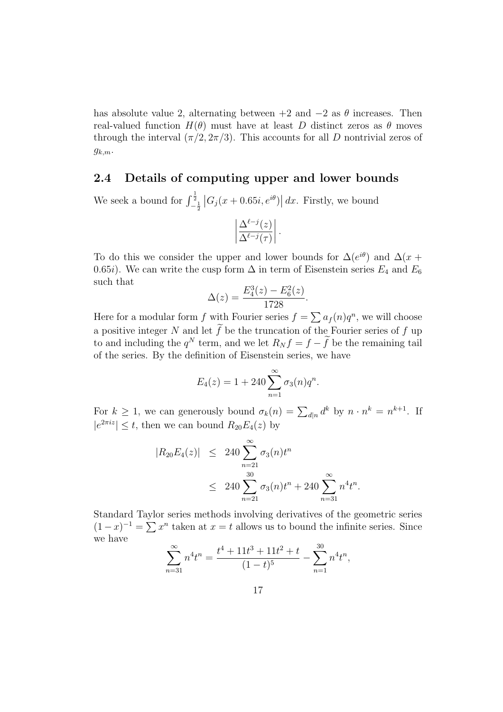has absolute value 2, alternating between  $+2$  and  $-2$  as  $\theta$  increases. Then real-valued function  $H(\theta)$  must have at least *D* distinct zeros as  $\theta$  moves through the interval  $(\pi/2, 2\pi/3)$ . This accounts for all *D* nontrivial zeros of *gk,m*.

#### **2.4 Details of computing upper and lower bounds**

We seek a bound for  $\int_{-\frac{1}{2}}^{\frac{1}{2}} |G_j(x + 0.65i, e^{i\theta})| dx$ . Firstly, we bound

$$
\left|\frac{\Delta^{\ell-j}(z)}{\Delta^{\ell-j}(\tau)}\right|.
$$

To do this we consider the upper and lower bounds for  $\Delta(e^{i\theta})$  and  $\Delta(x +$ 0.65*i*). We can write the cusp form  $\Delta$  in term of Eisenstein series  $E_4$  and  $E_6$ such that

$$
\Delta(z) = \frac{E_4^3(z) - E_6^2(z)}{1728}.
$$

Here for a modular form *f* with Fourier series  $f = \sum a_f(n)q^n$ , we will choose a positive integer *N* and let  $\tilde{f}$  be the truncation of the Fourier series of *f* up to and including the  $q^N$  term, and we let  $R_N f = f - \tilde{f}$  be the remaining tail of the series. By the definition of Eisenstein series, we have

$$
E_4(z) = 1 + 240 \sum_{n=1}^{\infty} \sigma_3(n) q^n.
$$

For  $k \geq 1$ , we can generously bound  $\sigma_k(n) = \sum_{d|n} d^k$  by  $n \cdot n^k = n^{k+1}$ . If  $|e^{2\pi i z}| \leq t$ , then we can bound  $R_{20}E_4(z)$  by

$$
|R_{20}E_4(z)| \leq 240 \sum_{n=21}^{\infty} \sigma_3(n) t^n
$$
  
 
$$
\leq 240 \sum_{n=21}^{30} \sigma_3(n) t^n + 240 \sum_{n=31}^{\infty} n^4 t^n.
$$

Standard Taylor series methods involving derivatives of the geometric series  $(1-x)^{-1} = \sum x^n$  taken at  $x = t$  allows us to bound the infinite series. Since we have

$$
\sum_{n=31}^{\infty} n^4 t^n = \frac{t^4 + 11t^3 + 11t^2 + t}{(1-t)^5} - \sum_{n=1}^{30} n^4 t^n,
$$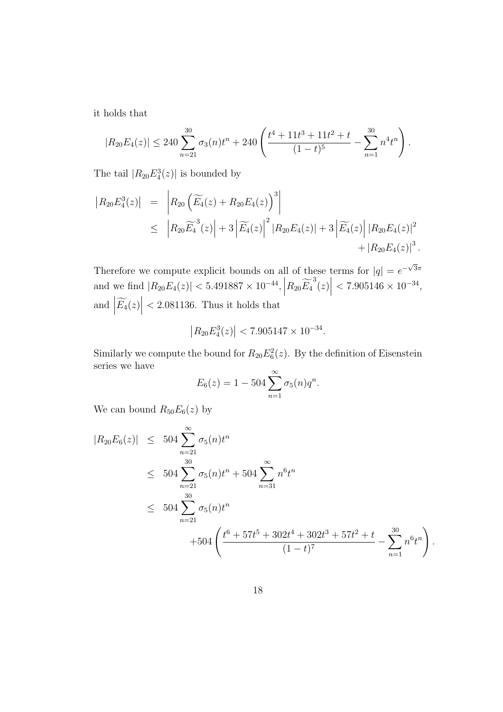it holds that

$$
|R_{20}E_4(z)| \le 240 \sum_{n=21}^{30} \sigma_3(n)t^n + 240 \left( \frac{t^4 + 11t^3 + 11t^2 + t}{(1-t)^5} - \sum_{n=1}^{30} n^4 t^n \right).
$$

The tail  $|R_{20}E_4^3(z)|$  is bounded by

$$
|R_{20}E_4^3(z)| = |R_{20}(\widetilde{E_4}(z) + R_{20}E_4(z))^{3}|
$$
  
\n
$$
\leq |R_{20}\widetilde{E_4}^3(z)| + 3|\widetilde{E_4}(z)|^{2} |R_{20}E_4(z)| + 3|\widetilde{E_4}(z)| |R_{20}E_4(z)|^{2}
$$
  
\n
$$
+ |R_{20}E_4(z)|^{3}.
$$

Therefore we compute explicit bounds on all of these terms for  $|q| = e^{-\sqrt{3}\pi}$ and we find  $|R_{20}E_4(z)| < 5.491887 \times 10^{-44}$ ,  $|R_{20}E_4^3(z)|$ *<* 7*.*905146 *×* 10*<sup>−</sup>*<sup>34</sup> , and  $\left| \widetilde{E_4}(z) \right|$ *<* 2*.*081136. Thus it holds that

$$
\left|R_{20}E_4^3(z)\right| < 7.905147 \times 10^{-34}.
$$

Similarly we compute the bound for  $R_{20}E_6^2(z)$ . By the definition of Eisenstein series we have

$$
E_6(z) = 1 - 504 \sum_{n=1}^{\infty} \sigma_5(n) q^n.
$$

We can bound  $R_{50}E_6(z)$  by

$$
|R_{20}E_6(z)| \leq 504 \sum_{n=21}^{\infty} \sigma_5(n)t^n
$$
  
\n
$$
\leq 504 \sum_{n=21}^{30} \sigma_5(n)t^n + 504 \sum_{n=31}^{\infty} n^6 t^n
$$
  
\n
$$
\leq 504 \sum_{n=21}^{30} \sigma_5(n)t^n
$$
  
\n
$$
+504 \left( \frac{t^6 + 57t^5 + 302t^4 + 302t^3 + 57t^2 + t}{(1 - t)^7} - \sum_{n=1}^{30} n^6 t^n \right).
$$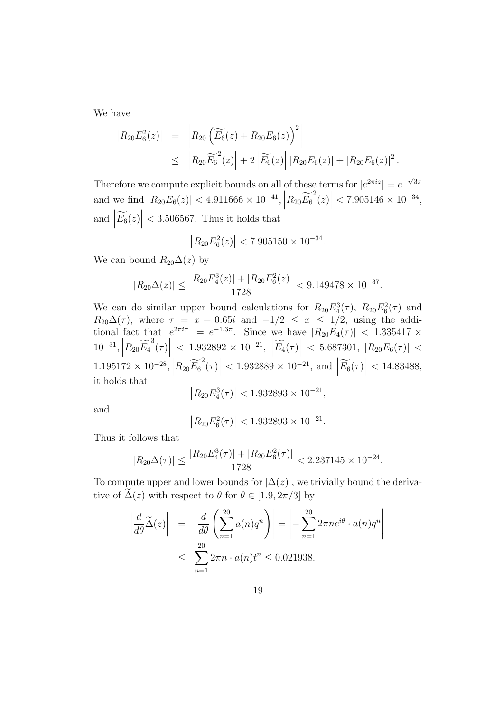We have

$$
\begin{array}{rcl} \left| R_{20} E_6^2(z) \right| & = & \left| R_{20} \left( \widetilde{E_6}(z) + R_{20} E_6(z) \right)^2 \right| \\ & \leq & \left| R_{20} \widetilde{E_6}^2(z) \right| + 2 \left| \widetilde{E_6}(z) \right| \left| R_{20} E_6(z) \right| + \left| R_{20} E_6(z) \right|^2. \end{array}
$$

Therefore we compute explicit bounds on all of these terms for  $|e^{2\pi i z}| = e^{-\sqrt{3}\pi}$ and we find  $|R_{20}E_6(z)| < 4.911666 \times 10^{-41}$ ,  $|R_{20}\widetilde{E_6}^2(z)|$ *<* 7*.*905146 *×* 10*<sup>−</sup>*<sup>34</sup> , and  $\left| \widetilde{E_6}(z) \right|$ *<* 3*.*506567. Thus it holds that

$$
\left| R_{20} E_6^2(z) \right| < 7.905150 \times 10^{-34}.
$$

We can bound  $R_{20}\Delta(z)$  by

$$
|R_{20}\Delta(z)| \le \frac{|R_{20}E_4^3(z)| + |R_{20}E_6^2(z)|}{1728} < 9.149478 \times 10^{-37}.
$$

We can do similar upper bound calculations for  $R_{20}E_4^3(\tau)$ ,  $R_{20}E_6^2(\tau)$  and  $R_{20}\Delta(\tau)$ , where  $\tau = x + 0.65i$  and  $-1/2 \leq x \leq 1/2$ , using the additional fact that  $|e^{2\pi i \tau}| = e^{-1.3\pi}$ . Since we have  $|R_{20}E_4(\tau)| < 1.335417 \times$  $10^{-31}, |R_{20}\widetilde{E_4}^3(\tau)|$  $\langle 1.932892 \times 10^{-21}, |\widetilde{E_4}(\tau)|$  $<$  5.687301,  $|R_{20}E_6(\tau)|$   $<$ 1.195172 × 10<sup>−28</sup>,  $\left| R_{20} \widetilde{E_6}^2(\tau) \right|$ <br>it halds that  $\langle 1.932889 \times 10^{-21}, \text{ and } \left| \widetilde{E_6}(\tau) \right|$ *<* 14*.*83488, it holds that

$$
\left|R_{20}E_4^3(\tau)\right| < 1.932893 \times 10^{-21},
$$

and

$$
\left| R_{20} E_6^2(\tau) \right| < 1.932893 \times 10^{-21}.
$$

Thus it follows that

$$
|R_{20}\Delta(\tau)| \le \frac{|R_{20}E_4^3(\tau)| + |R_{20}E_6^2(\tau)|}{1728} < 2.237145 \times 10^{-24}.
$$

To compute upper and lower bounds for  $|\Delta(z)|$ , we trivially bound the derivative of  $\Delta(z)$  with respect to  $\theta$  for  $\theta \in [1.9, 2\pi/3]$  by

$$
\left| \frac{d}{d\theta} \widetilde{\Delta}(z) \right| = \left| \frac{d}{d\theta} \left( \sum_{n=1}^{20} a(n) q^n \right) \right| = \left| - \sum_{n=1}^{20} 2\pi n e^{i\theta} \cdot a(n) q^n \right|
$$
  

$$
\leq \sum_{n=1}^{20} 2\pi n \cdot a(n) t^n \leq 0.021938.
$$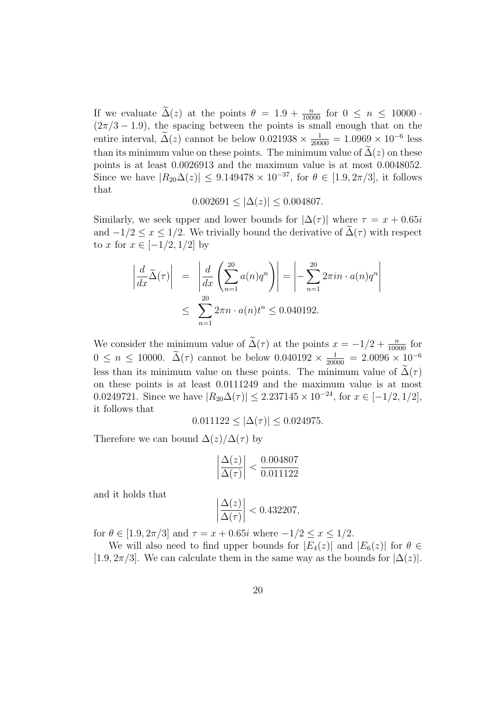If we evaluate  $\tilde{\Delta}(z)$  at the points  $\theta = 1.9 + \frac{n}{10000}$  for  $0 \le n \le 10000$  ·  $(2\pi/3 - 1.9)$ , the spacing between the points is small enough that on the entire interval,  $\tilde{\Delta}(z)$  cannot be below  $0.021938 \times \frac{1}{20000} = 1.0969 \times 10^{-6}$  less than its minimum value on these points. The minimum value of  $\tilde{\Delta}(z)$  on these points is at least 0*.*0026913 and the maximum value is at most 0*.*0048052. Since we have  $|R_{20}\Delta(z)| \leq 9.149478 \times 10^{-37}$ , for  $\theta \in [1.9, 2\pi/3]$ , it follows that

 $0.002691 \leq |\Delta(z)| \leq 0.004807.$ 

Similarly, we seek upper and lower bounds for  $|\Delta(\tau)|$  where  $\tau = x + 0.65i$ and  $-1/2 \leq x \leq 1/2$ . We trivially bound the derivative of  $\Delta(\tau)$  with respect to *x* for *x* ∈ [−1/2*,* 1/2] by

$$
\left| \frac{d}{dx} \widetilde{\Delta}(\tau) \right| = \left| \frac{d}{dx} \left( \sum_{n=1}^{20} a(n) q^n \right) \right| = \left| - \sum_{n=1}^{20} 2\pi i n \cdot a(n) q^n \right|
$$
  

$$
\leq \sum_{n=1}^{20} 2\pi n \cdot a(n) t^n \leq 0.040192.
$$

We consider the minimum value of  $\tilde{\Delta}(\tau)$  at the points  $x = -1/2 + \frac{n}{10000}$  for  $0 \le n \le 10000$ .  $\tilde{\Delta}(\tau)$  cannot be below  $0.040192 \times \frac{1}{20000} = 2.0096 \times 10^{-6}$ less than its minimum value on these points. The minimum value of  $\Delta(\tau)$ on these points is at least 0*.*0111249 and the maximum value is at most 0*.*0249721. Since we have  $|R_{20}\Delta(\tau)| \leq 2.237145 \times 10^{-24}$ , for  $x \in [-1/2, 1/2]$ , it follows that

$$
0.011122 \le |\Delta(\tau)| \le 0.024975.
$$

Therefore we can bound  $\Delta(z)/\Delta(\tau)$  by

$$
\left|\frac{\Delta(z)}{\Delta(\tau)}\right| < \frac{0.004807}{0.011122}
$$

and it holds that

$$
\left|\frac{\Delta(z)}{\Delta(\tau)}\right| < 0.432207,
$$

for  $\theta \in [1.9, 2\pi/3]$  and  $\tau = x + 0.65i$  where  $-1/2 \le x \le 1/2$ .

We will also need to find upper bounds for  $|E_4(z)|$  and  $|E_6(z)|$  for  $\theta \in$  $[1.9, 2\pi/3]$ . We can calculate them in the same way as the bounds for  $|\Delta(z)|$ .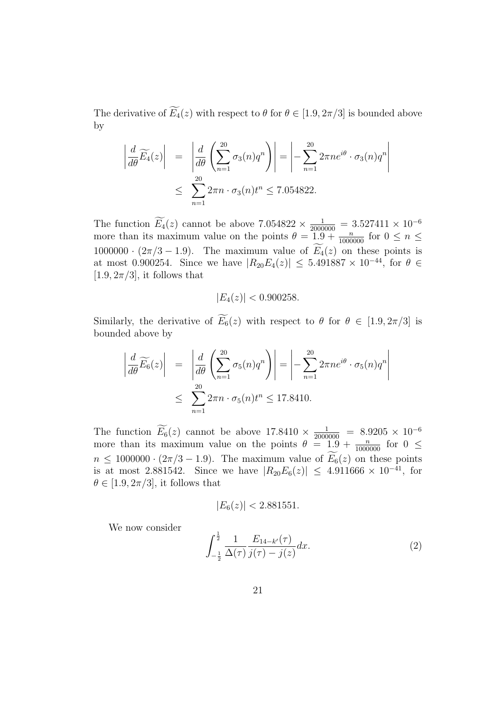The derivative of  $\widetilde{E}_4(z)$  with respect to  $\theta$  for  $\theta \in [1.9, 2\pi/3]$  is bounded above by

$$
\left| \frac{d}{d\theta} \widetilde{E_4}(z) \right| = \left| \frac{d}{d\theta} \left( \sum_{n=1}^{20} \sigma_3(n) q^n \right) \right| = \left| - \sum_{n=1}^{20} 2\pi n e^{i\theta} \cdot \sigma_3(n) q^n \right|
$$
  

$$
\leq \sum_{n=1}^{20} 2\pi n \cdot \sigma_3(n) t^n \leq 7.054822.
$$

The function  $E_4(z)$  cannot be above  $7.054822 \times \frac{1}{2000000} = 3.527411 \times 10^{-6}$ more than its maximum value on the points  $\theta = 1.9 + \frac{n}{1000000}$  for  $0 \le n \le$ 1000000 ·  $(2\pi/3 - 1.9)$ . The maximum value of  $\widetilde{E}_4(z)$  on these points is at most 0.900254. Since we have  $|R_{20}E_4(z)| \leq 5.491887 \times 10^{-44}$ , for  $\theta \in$  $[1.9, 2\pi/3]$ , it follows that

$$
|E_4(z)| < 0.900258.
$$

Similarly, the derivative of  $\widetilde{E}_6(z)$  with respect to  $\theta$  for  $\theta \in [1.9, 2\pi/3]$  is bounded above by

$$
\left| \frac{d}{d\theta} \widetilde{E_6}(z) \right| = \left| \frac{d}{d\theta} \left( \sum_{n=1}^{20} \sigma_5(n) q^n \right) \right| = \left| - \sum_{n=1}^{20} 2\pi n e^{i\theta} \cdot \sigma_5(n) q^n \right|
$$
  

$$
\leq \sum_{n=1}^{20} 2\pi n \cdot \sigma_5(n) t^n \leq 17.8410.
$$

The function  $E_6(z)$  cannot be above  $17.8410 \times \frac{1}{2000000} = 8.9205 \times 10^{-6}$ more than its maximum value on the points  $\theta = 1.9 + \frac{n}{1000000}$  for  $0 \le$  $n \leq 1000000 \cdot (2\pi/3 - 1.9)$ . The maximum value of  $\widetilde{E}_6(z)$  on these points is at most 2.881542. Since we have  $|R_{20}E_6(z)| \leq 4.911666 \times 10^{-41}$ , for  $\theta \in [1.9, 2\pi/3]$ , it follows that

$$
|E_6(z)| < 2.881551.
$$

We now consider

$$
\int_{-\frac{1}{2}}^{\frac{1}{2}} \frac{1}{\Delta(\tau)} \frac{E_{14-k'}(\tau)}{j(\tau) - j(z)} dx.
$$
 (2)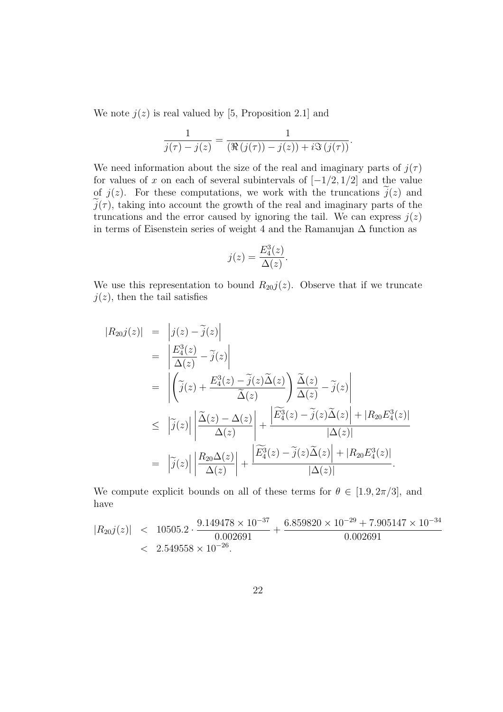We note  $j(z)$  is real valued by [5, Proposition 2.1] and

$$
\frac{1}{j(\tau)-j(z)} = \frac{1}{(\Re(j(\tau))-j(z))+i\Im(j(\tau))}.
$$

We need information about the size of the real and imaginary parts of  $j(\tau)$ for values of *x* on each of several subintervals of  $[-1/2, 1/2]$  and the value of  $j(z)$ . For these computations, we work with the truncations  $j(z)$  and  $\hat{j}(\tau)$ , taking into account the growth of the real and imaginary parts of the truncations and the error caused by ignoring the tail. We can express  $j(z)$ in terms of Eisenstein series of weight 4 and the Ramanujan  $\Delta$  function as

$$
j(z) = \frac{E_4^3(z)}{\Delta(z)}.
$$

We use this representation to bound  $R_{20}j(z)$ . Observe that if we truncate  $j(z)$ , then the tail satisfies

$$
|R_{20}j(z)| = |j(z) - \tilde{j}(z)|
$$
  
\n
$$
= \left| \frac{E_4^3(z)}{\Delta(z)} - \tilde{j}(z) \right|
$$
  
\n
$$
= \left| \left( \tilde{j}(z) + \frac{E_4^3(z) - \tilde{j}(z)\tilde{\Delta}(z)}{\tilde{\Delta}(z)} \right) \frac{\tilde{\Delta}(z)}{\Delta(z)} - \tilde{j}(z)
$$
  
\n
$$
\leq |\tilde{j}(z)| \left| \frac{\tilde{\Delta}(z) - \Delta(z)}{\Delta(z)} \right| + \frac{|\widetilde{E}_4^3(z) - \tilde{j}(z)\tilde{\Delta}(z)| + |R_{20}E_4^3(z)|}{|\Delta(z)|}
$$
  
\n
$$
= |\tilde{j}(z)| \left| \frac{R_{20}\Delta(z)}{\Delta(z)} \right| + \frac{|\widetilde{E}_4^3(z) - \tilde{j}(z)\tilde{\Delta}(z)| + |R_{20}E_4^3(z)|}{|\Delta(z)|}.
$$

We compute explicit bounds on all of these terms for  $\theta \in [1.9, 2\pi/3]$ , and have

$$
|R_{20}j(z)| \n $\n10505.2 \cdot \frac{9.149478 \times 10^{-37}}{0.002691} + \frac{6.859820 \times 10^{-29} + 7.905147 \times 10^{-34}}{0.002691}$ \n
$$
\n $\n2.549558 \times 10^{-26}.$
$$
$$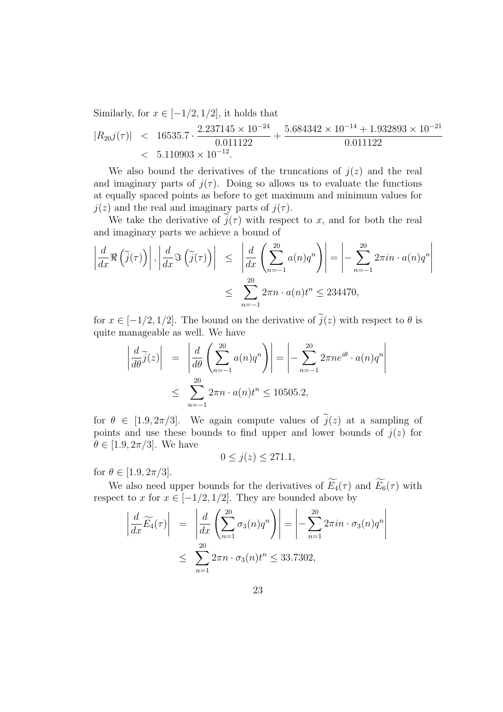Similarly, for  $x \in [-1/2, 1/2]$ , it holds that

$$
|R_{20}j(\tau)| \quad < \quad 16535.7 \cdot \frac{2.237145 \times 10^{-24}}{0.011122} + \frac{5.684342 \times 10^{-14} + 1.932893 \times 10^{-21}}{0.011122} \\
 < \quad 5.110903 \times 10^{-12}.
$$

We also bound the derivatives of the truncations of  $j(z)$  and the real and imaginary parts of  $j(\tau)$ . Doing so allows us to evaluate the functions at equally spaced points as before to get maximum and minimum values for  $j(z)$  and the real and imaginary parts of  $j(\tau)$ .

We take the derivative of  $\hat{j}(\tau)$  with respect to *x*, and for both the real and imaginary parts we achieve a bound of

$$
\left| \frac{d}{dx} \Re \left( \tilde{j}(\tau) \right) \right|, \left| \frac{d}{dx} \Im \left( \tilde{j}(\tau) \right) \right| \leq \left| \frac{d}{dx} \left( \sum_{n=-1}^{20} a(n) q^n \right) \right| = \left| - \sum_{n=-1}^{20} 2\pi i n \cdot a(n) q^n \right|
$$
  

$$
\leq \sum_{n=-1}^{20} 2\pi n \cdot a(n) t^n \leq 234470,
$$

for  $x \in [-1/2, 1/2]$ . The bound on the derivative of  $\tilde{j}(z)$  with respect to  $\theta$  is quite manageable as well. We have

$$
\left| \frac{d}{d\theta} \tilde{j}(z) \right| = \left| \frac{d}{d\theta} \left( \sum_{n=-1}^{20} a(n) q^n \right) \right| = \left| - \sum_{n=-1}^{20} 2\pi n e^{i\theta} \cdot a(n) q^n \right|
$$
  

$$
\leq \sum_{n=-1}^{20} 2\pi n \cdot a(n) t^n \leq 10505.2,
$$

for  $\theta \in [1.9, 2\pi/3]$ . We again compute values of  $\tilde{j}(z)$  at a sampling of points and use these bounds to find upper and lower bounds of  $j(z)$  for  $\theta \in [1.9, 2\pi/3]$ . We have

$$
0 \le j(z) \le 271.1,
$$

for  $\theta \in [1.9, 2\pi/3]$ .

We also need upper bounds for the derivatives of  $\widetilde{E_4}(\tau)$  and  $\widetilde{E_6}(\tau)$  with respect to *x* for  $x \in [-1/2, 1/2]$ . They are bounded above by

$$
\left| \frac{d}{dx} \widetilde{E_4}(\tau) \right| = \left| \frac{d}{dx} \left( \sum_{n=1}^{20} \sigma_3(n) q^n \right) \right| = \left| - \sum_{n=1}^{20} 2\pi i n \cdot \sigma_3(n) q^n \right|
$$
  

$$
\leq \sum_{n=1}^{20} 2\pi n \cdot \sigma_3(n) t^n \leq 33.7302,
$$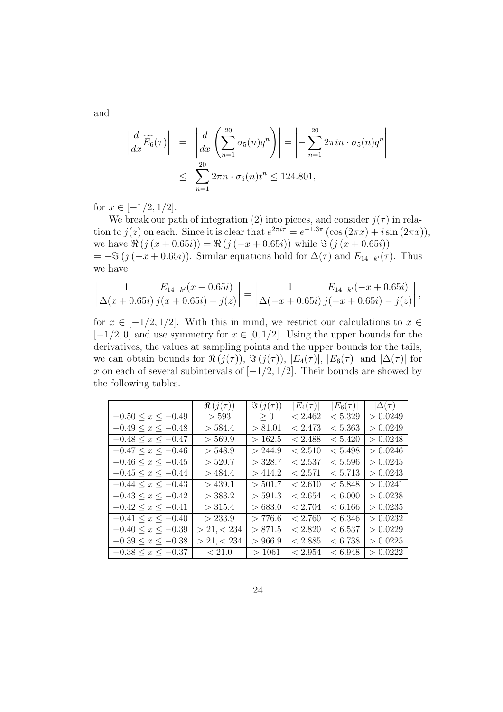and

$$
\left| \frac{d}{dx} \widetilde{E}_6(\tau) \right| = \left| \frac{d}{dx} \left( \sum_{n=1}^{20} \sigma_5(n) q^n \right) \right| = \left| - \sum_{n=1}^{20} 2\pi i n \cdot \sigma_5(n) q^n \right|
$$
  

$$
\leq \sum_{n=1}^{20} 2\pi n \cdot \sigma_5(n) t^n \leq 124.801,
$$

for  $x \in [-1/2, 1/2]$ .

We break our path of integration (2) into pieces, and consider  $j(\tau)$  in relation to  $j(z)$  on each. Since it is clear that  $e^{2\pi i \tau} = e^{-1.3\pi} (\cos(2\pi x) + i \sin(2\pi x))$ , we have  $\Re(j(x+0.65i)) = \Re(j(-x+0.65i))$  while  $\Im(j(x+0.65i))$  $= -\Im(j(-x + 0.65i))$ . Similar equations hold for  $\Delta(\tau)$  and  $E_{14-k'}(\tau)$ . Thus we have

$$
\left|\frac{1}{\Delta(x+0.65i)}\frac{E_{14-k'}(x+0.65i)}{j(x+0.65i)-j(z)}\right| = \left|\frac{1}{\Delta(-x+0.65i)}\frac{E_{14-k'}(-x+0.65i)}{j(-x+0.65i)-j(z)}\right|,
$$

for  $x \in [-1/2, 1/2]$ . With this in mind, we restrict our calculations to  $x \in$ [*−*1*/*2*,* 0] and use symmetry for *x ∈* [0*,* 1*/*2]. Using the upper bounds for the derivatives, the values at sampling points and the upper bounds for the tails, we can obtain bounds for  $\Re(j(\tau))$ ,  $\Im(j(\tau))$ ,  $|E_4(\tau)|$ ,  $|E_6(\tau)|$  and  $|\Delta(\tau)|$  for *x* on each of several subintervals of [*−*1*/*2*,* 1*/*2]. Their bounds are showed by the following tables.

|                           | $\Re(j(\tau))$ | $\Im(j(\tau))$ | $ E_4(\tau) $ | $ E_6(\tau) $ | $ \Delta(\tau) $ |
|---------------------------|----------------|----------------|---------------|---------------|------------------|
| $-0.50 \le x \le -0.49$   | > 593          | > 0            | < 2.462       | < 5.329       | > 0.0249         |
| $-0.49 \leq x \leq -0.48$ | > 584.4        | > 81.01        | < 2.473       | < 5.363       | > 0.0249         |
| $-0.48 \leq x \leq -0.47$ | > 569.9        | >162.5         | < 2.488       | < 5.420       | > 0.0248         |
| $-0.47 \leq x \leq -0.46$ | > 548.9        | > 244.9        | < 2.510       | < 5.498       | > 0.0246         |
| $-0.46 \le x \le -0.45$   | > 520.7        | $>$ 328.7      | < 2.537       | < 5.596       | > 0.0245         |
| $-0.45 \leq x \leq -0.44$ | >484.4         | >414.2         | < 2.571       | < 5.713       | > 0.0243         |
| $-0.44 \leq x \leq -0.43$ | $>$ 439.1      | > 501.7        | < 2.610       | < 5.848       | > 0.0241         |
| $-0.43 \leq x \leq -0.42$ | $>$ 383.2      | > 591.3        | < 2.654       | < 6.000       | > 0.0238         |
| $-0.42 \leq x \leq -0.41$ | > 315.4        | > 683.0        | < 2.704       | ${}< 6.166$   | > 0.0235         |
| $-0.41 \leq x \leq -0.40$ | > 233.9        | >776.6         | < 2.760       | ${}< 6.346$   | > 0.0232         |
| $-0.40 \leq x \leq -0.39$ | > 21, < 234    | > 871.5        | < 2.820       | < 6.537       | >0.0229          |
| $-0.39 \leq x \leq -0.38$ | > 21, < 234    | > 966.9        | < 2.885       | < 6.738       | > 0.0225         |
| $-0.38 \leq x \leq -0.37$ | < 21.0         | >1061          | < 2.954       | < 6.948       | > 0.0222         |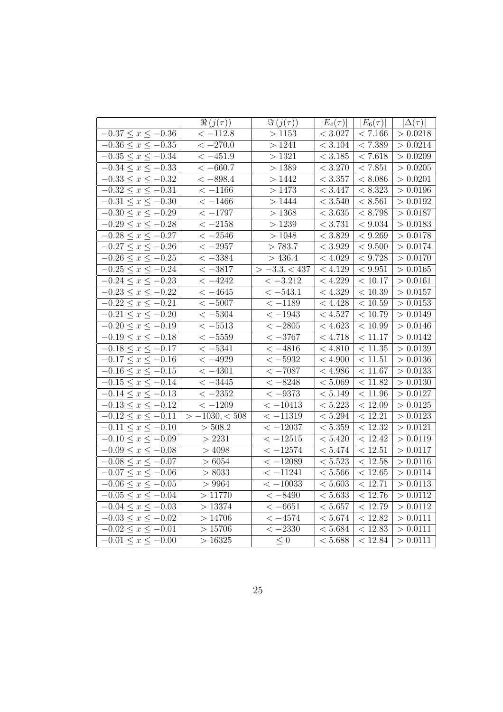|                                    | $\Re(j(\tau))$      | $\Im(j(\tau))$        | $ E_4(\tau) $        | $ E_6(\tau) $         | $ \Delta(\tau) $     |
|------------------------------------|---------------------|-----------------------|----------------------|-----------------------|----------------------|
| $-0.37 \le x \le -0.36$            | $\rm < -112.8$      | >1153                 | < 3.027              | < 7.166               | > 0.0218             |
| $-0.36\leq x \leq -0.35$           | $<-270.0$           | >1241                 | $< 3.104\,$          | < 7.389               | > 0.0214             |
| $-0.35 \le x \le -0.34$            | $<-451.9$           | $>1321\,$             | $< 3.185\,$          | $< 7.618$             | > 0.0209             |
| $-0.34 \leq x \leq -0.33$          | $<-660.7$           | > 1389                | $< 3.270\,$          | < 7.851               | > 0.0205             |
| $-0.33 \le x \le -0.32$            | $<-898.4$           | > 1442                | < 3.357              | $\frac{1}{6}$ 8.086   | > 0.0201             |
| $-0.32 \leq x \leq -0.31$          | $<-1166$            | >1473                 | < 3.447              | $\frac{1}{6}$ 8.323   | > 0.0196             |
| $\overline{-0.31} \le x \le -0.30$ | $\frac{-1466}{5}$   | $>1444\,$             | $\sqrt{3.540}$       | $\frac{1}{6}$ 8.561   | > 0.0192             |
| $-0.30 \le x \le -0.29$            | $<-1797$            | >1368                 | < 3.635              | < 8.798               | > 0.0187             |
| $-0.29 \le x \le -0.28$            | $<-2158$            | >1239                 | < 3.731              | $<9.034$              | > 0.0183             |
| $-0.28 \le x \le -0.27$            | $\overline{<-2546}$ | >1048                 | $\sqrt{3.829}$       | $\sqrt{9.269}$        | > 0.0178             |
| $-0.27 \le x \le -0.26$            | $<-2957$            | > 783.7               | $\sqrt{3.929}$       | $\sqrt{9.500}$        | > 0.0174             |
| $-0.26 \le x \le -0.25$            | $<-3384$            | >436.4                | $<4.029\,$           | $\leq 9.728$          | > 0.0170             |
| $-0.25 \leq x \leq -0.24$          | $<-3817$            | $> -3.3, < 437$       | < 4.129              | < 9.951               | > 0.0165             |
| $-0.24 \leq x \leq -0.23$          | $<-4242$            | $<-3.212$             | $<4.229\,$           | $<10.17\,$            | > 0.0161             |
| $-0.23 \le x \le -0.22$            | $\overline{<-4645}$ | $\overline{<-543.1}$  | $\overline{<4.329}$  | $\frac{1}{5}$ (10.39) | > 0.0157             |
| $-0.22 \leq x \leq -0.21$          | $<-5007$            | $<-1189$              | $\overline{<}$ 4.428 | $<10.59\,$            | > 0.0153             |
| $\overline{-0.21} \le x \le -0.20$ | $\rm < -5304$       | $<-1943$              | $<4.527\,$           | $<10.79\,$            | > 0.0149             |
| $-0.20 \le x \le -0.19$            | $<-5513$            | $<-2805$              | $<4.623\,$           | $<10.99\,$            | > 0.0146             |
| $-0.19 \le x \le -0.18$            | $<-5559$            | $\overline{<-3767}$   | < 4.718              | $\sqrt{11.17}$        | > 0.0142             |
| $-0.18 \le x \le -0.17$            | $<-5341$            | $<-4816$              | $\frac{1}{54.810}$   | $<11.35\,$            | > 0.0139             |
| $-0.17 \leq x \leq -0.16$          | $\,< -4929$         | $<-5932$              | $<4.900\,$           | $<11.51\,$            | > 0.0136             |
| $-0.16 \le x \le -0.15$            | $<-4301$            | $<-7087$              | < 4.986              | < 11.67               | > 0.0133             |
| $-0.15 \leq x \leq -0.14$          | $<-3445$            | $\overline{<-8248}$   | $<5.069\,$           | $\frac{1}{5}$ 11.82   | > 0.0130             |
| $-0.14 \leq x \leq -0.13$          | $<-2352$            | $<-9373$              | < 5.149              | < 11.96               | > 0.0127             |
| $-0.13 \le x \le -0.12$            | $<-1209$            | $<-10413$             | < 5.223              | < 12.09               | > 0.0125             |
| $-0.12 \leq x \leq -0.11$          | $>-1030,<508$       | $<-11319$             | $< 5.294\,$          | $\frac{1}{2}.21$      | $\frac{1}{2}$ 0.0123 |
| $-0.11 \le x \le -0.10$            | > 508.2             | $<-12037$             | $<5.359\,$           | $\frac{1}{2}$ (12.32) | > 0.0121             |
| $-0.10 \le x \le -0.09$            | >2231               | $<-12515$             | < 5.420              | $\overline{<}12.42$   | > 0.0119             |
| $-0.09 \le x \le -0.08$            | >4098               | $<-12\overline{574}$  | $<\,5.474$           | $\overline{<}$ 12.51  | > 0.0117             |
| $-0.08 \le x \le -0.07$            | > 6054              | $\overline{(-12089)}$ | < 5.523              | < 12.58               | > 0.0116             |
| $-0.07 \le x \le -0.06$            | > 8033              | $<-11241$             | < 5.566              | $\frac{1}{5}$         | > 0.0114             |
| $-0.06 \le x \le -0.05$            | > 9964              | $<-10033$             | $<5.603\,$           | $\sqrt{12.71}$        | > 0.0113             |
| $-0.05 \le x \le -0.04$            | >11770              | $<-8490$              | < 5.633              | < 12.76               | > 0.0112             |
| $-0.04 \le x \le -0.03$            | >13374              | $<-6651$              | $<5.657\,$           | < 12.79               | > 0.0112             |
| $-0.03 \leq x \leq -0.02$          | >14706              | $\overline{<-4574}$   | < 5.674              | < 12.82               | > 0.0111             |
| $-0.02 \leq x \leq -0.01$          | >15706              | $\overline{<-2330}$   | $\frac{1}{5.684}$    | < 12.83               | > 0.0111             |
| $-0.01 \leq x \leq -0.00$          | >16325              | $\leq 0$              | < 5.688              | $<12.84\,$            | > 0.0111             |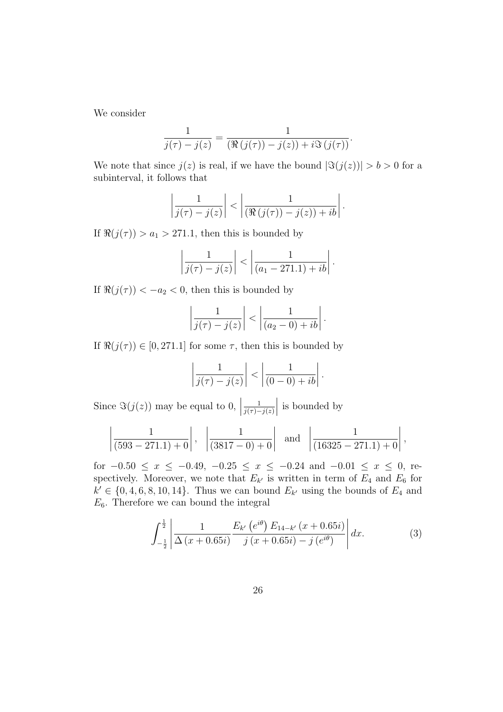We consider

$$
\frac{1}{j(\tau)-j(z)} = \frac{1}{(\Re(j(\tau))-j(z))+i\Im(j(\tau))}.
$$

We note that since  $j(z)$  is real, if we have the bound  $|\Im(j(z))| > b > 0$  for a subinterval, it follows that

$$
\left|\frac{1}{j(\tau)-j(z)}\right| < \left|\frac{1}{(\Re(j(\tau))-j(z))+ib}\right|.
$$

If  $\Re(j(\tau)) > a_1 > 271.1$ , then this is bounded by

$$
\left|\frac{1}{j(\tau)-j(z)}\right| < \left|\frac{1}{(a_1-271.1)+ib}\right|.
$$

If  $\Re(j(\tau)) < -a_2 < 0$ , then this is bounded by

$$
\left|\frac{1}{j(\tau)-j(z)}\right| < \left|\frac{1}{(a_2-0)+ib}\right|.
$$

If  $\Re(j(\tau)) \in [0, 271.1]$  for some  $\tau$ , then this is bounded by

$$
\left|\frac{1}{j(\tau)-j(z)}\right| < \left|\frac{1}{(0-0)+ib}\right|.
$$

Since  $\Im(j(z))$  may be equal to 0,  $\Big|$ 1 *j*(*τ*)*−j*(*z*)    is bounded by

$$
\left|\frac{1}{(593-271.1)+0}\right|
$$
,  $\left|\frac{1}{(3817-0)+0}\right|$  and  $\left|\frac{1}{(16325-271.1)+0}\right|$ ,

for  $-0.50 \le x \le -0.49$ ,  $-0.25 \le x \le -0.24$  and  $-0.01 \le x \le 0$ , respectively. Moreover, we note that  $E_{k'}$  is written in term of  $E_4$  and  $E_6$  for  $k' \in \{0, 4, 6, 8, 10, 14\}$ . Thus we can bound  $E_{k'}$  using the bounds of  $E_4$  and  $E_6$ . Therefore we can bound the integral

$$
\int_{-\frac{1}{2}}^{\frac{1}{2}} \left| \frac{1}{\Delta(x+0.65i)} \frac{E_{k'}(e^{i\theta}) E_{14-k'}(x+0.65i)}{j(x+0.65i) - j(e^{i\theta})} \right| dx.
$$
 (3)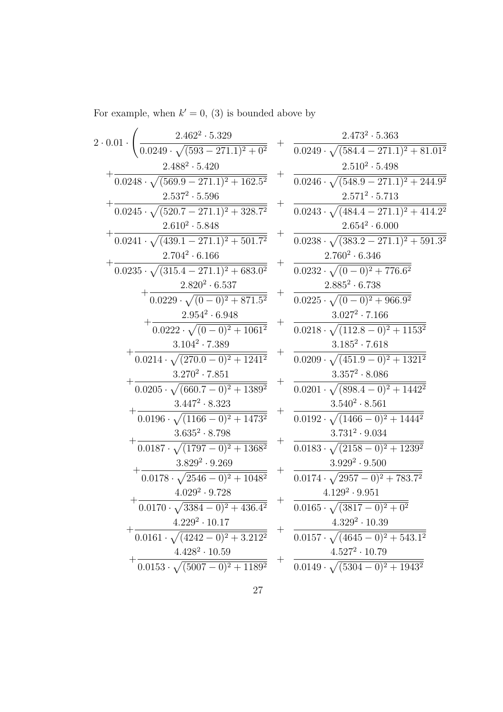For example, when  $k' = 0$ , (3) is bounded above by

| $2\cdot 0.01$ $\cdot$                                 |                    | $\frac{2.462^2\cdot 5.329}{0.0249\cdot \sqrt{(593-271.1)^2+0^2}} \ \ + \ \ \frac{2.473^2\cdot 5.363}{0.0249\cdot \sqrt{(584.4-271.1)^2+81.01^2}}$ |
|-------------------------------------------------------|--------------------|---------------------------------------------------------------------------------------------------------------------------------------------------|
|                                                       |                    |                                                                                                                                                   |
| $2.488^2 \cdot 5.420$                                 | $^{+}$             | $2.510^2 \cdot 5.498$                                                                                                                             |
| $\sqrt{(569.9-271.1)^2+162.5^2}$                      |                    | $0.0246 \cdot \sqrt{(548.9 - 271.1)^2 + 244.9^2}$                                                                                                 |
| $2.537^2 \cdot 5.596$                                 |                    | $2.571^2 \cdot 5.713$                                                                                                                             |
| $0.0245 \cdot \sqrt{(520.7 - 271.1)^2 + 328.7^2}$     | $^{+}$             | $0.0243 \cdot \sqrt{(484.4 - 271.1)^2 + 414.2^2}$                                                                                                 |
| $2.610^2 \cdot 5.848$                                 |                    | $2.654^2 \cdot 6.000$                                                                                                                             |
| $0.0241 \cdot \sqrt{(439.1 - 271.1)^2 + 501.7^2}$     | $\hspace{0.1mm} +$ | $0.0238 \cdot \sqrt{(383.2 - 271.1)^2 + 591.3^2}$                                                                                                 |
| $2.704^2 \cdot 6.166$                                 |                    | $2.760^2 \cdot 6.346$                                                                                                                             |
| $0.0235 \cdot \sqrt{(315.4 - 271.1)^2 + 683.0^2}$     |                    | $0.0232 \cdot \sqrt{(0-0)^2+776.6^2}$                                                                                                             |
| $2.820^2 \cdot 6.537$                                 |                    | $2.885^2 \cdot 6.738$                                                                                                                             |
| $0.0229 \cdot \sqrt{(0-0)^2 + 871.5^2}$               | $\overline{+}$     | $0.0225 \cdot \sqrt{(0-0)^2 + 966.9^2}$                                                                                                           |
| $2.954^2\cdot 6.948$                                  |                    | $3.027^2 \cdot 7.166$                                                                                                                             |
| $0.0222 \cdot \sqrt{(0-0)^2+1061^2}$                  |                    | $0.0218 \cdot \sqrt{(112.8-0)^2+1153^2}$                                                                                                          |
| $3.104^2 \cdot 7.389$                                 |                    | $3.185^2 \cdot 7.618$                                                                                                                             |
| $0.0214 \cdot \sqrt{(270.0-0)^2+1241^2}$              |                    | $0.0209 \cdot \sqrt{(451.9-0)^2+1321^2}$                                                                                                          |
| $3.270^2\cdot7.851$                                   |                    | $3.357^2\cdot 8.086$                                                                                                                              |
| $0.0205 \cdot \sqrt{(660.7-0)^2+1389^2}$              | $^{+}$             | $0.0201 \cdot \sqrt{(898.4-0)^2+1442^2}$                                                                                                          |
| $3.447^2 \cdot 8.323$                                 |                    | $3.540^2 \cdot 8.561$                                                                                                                             |
| $0.0196 \cdot \sqrt{(1166-0)^2+1473^2}$               | $\pm$              | $0.0192 \cdot \sqrt{(1466-0)^2+1444^2}$                                                                                                           |
| $3.635^2 \cdot 8.798$                                 |                    | $3.731^2 \cdot 9.034$                                                                                                                             |
| $0.0187 \cdot \sqrt{(1797-0)^2+1368^2}$               | $\hspace{0.1mm} +$ | $0.0183 \cdot \sqrt{(2158-0)^2+1239^2}$                                                                                                           |
| $3.829^2 \cdot 9.269$                                 |                    | $3.929^2 \cdot 9.500$                                                                                                                             |
| $0.0178 \cdot \sqrt{2546 - 0^2 + 1048^2}$             | $^{+}$             | $0.0174 \cdot \sqrt{2957 - 0^2 + 783.7^2}$                                                                                                        |
| $4.029^2\cdot 9.728$                                  |                    | $4.129^2 \cdot 9.951$                                                                                                                             |
| $0.0170 \cdot \sqrt{3384 - 0^2 + 436.4^2}$            | $^{+}$             | $0.0165 \cdot \sqrt{(3817-0)^2+0^2}$                                                                                                              |
| $4.229^2 \cdot 10.17$                                 |                    | $4.329^2 \cdot 10.39$                                                                                                                             |
| $\frac{0.0161 \cdot \sqrt{(4242-0)^2+3.212^2}}{2}$    | $^{+}$             | $\frac{0.0157 \cdot \sqrt{(4645-0)^2+543.1^2}}{2}$                                                                                                |
| $4.428^2 \cdot 10.59$                                 |                    | $4.527^2 \cdot 10.79$                                                                                                                             |
| $\frac{1.126}{0.0153 \cdot \sqrt{(5007-0)^2+1189^2}}$ |                    | $\frac{0.0149 \cdot \sqrt{(5304-0)^2+1943^2}}{2}$                                                                                                 |
|                                                       |                    |                                                                                                                                                   |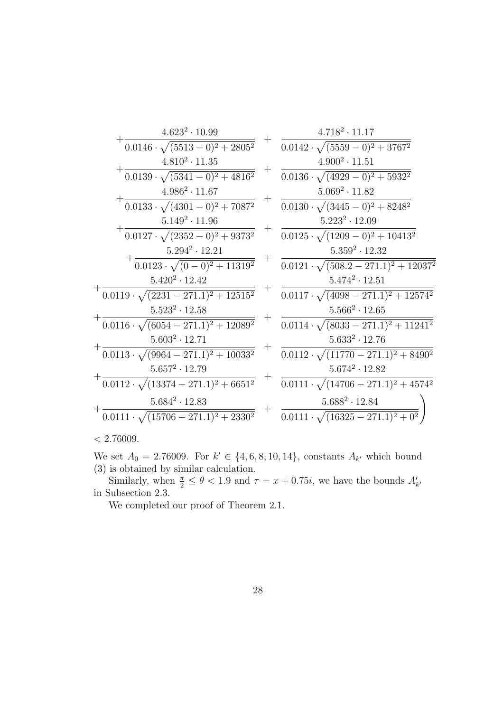| $4.623^2 \cdot 10.99$                            |                    | $4.718^2 \cdot 11.17$                             |
|--------------------------------------------------|--------------------|---------------------------------------------------|
| $0.0146 \cdot \sqrt{(5513-0)^2+2805^2}$          |                    | $0.0142 \cdot \sqrt{(5559-0)^2+3767^2}$           |
| $4.810^2 \cdot 11.35$                            |                    | $4.900^2 \cdot 11.51$                             |
| $0.0139 \cdot \sqrt{(5341-0)^2+4816^2}$          | $^+$               | $0.0136 \cdot \sqrt{(4929-0)^2+5932^2}$           |
| $4.986^2 \cdot 11.67$                            |                    | $5.069^2 \cdot 11.82$                             |
| $0.0133 \cdot \sqrt{(4301-0)^2+7087^2}$          |                    | $0.0130 \cdot \sqrt{(3445-0)^2+8248^2}$           |
| $5.149^2 \cdot 11.96$                            |                    | $5.223^2 \cdot 12.09$                             |
| $0.0127 \cdot \sqrt{(2352-0)^2+9373^2}$          | $\hspace{0.1mm} +$ | $0.0125 \cdot \sqrt{(1209-0)^2+10413^2}$          |
| $5.294^2 \cdot 12.21$                            |                    | $5.359^2 \cdot 12.32$                             |
| $0.0123 \cdot \sqrt{(0-0)^2+11319^2}$            |                    | $0.0121 \cdot \sqrt{(508.2 - 271.1)^2 + 12037^2}$ |
| $5.420^2 \cdot 12.42$                            |                    | $5.474^2 \cdot 12.51$                             |
| $0.0119 \cdot \sqrt{(2231 - 271.1)^2 + 12515^2}$ | $\hspace{0.1mm} +$ | $0.0117 \cdot \sqrt{(4098 - 271.1)^2 + 12574^2}$  |
| $5.523^2 \cdot 12.58$                            |                    | $5.566^2 \cdot 12.65$                             |
| $0.0116 \cdot \sqrt{(6054-271.1)^2+12089^2}$     |                    | $0.0114 \cdot \sqrt{(8033-271.1)^2+11241^2}$      |
| $5.603^2 \cdot 12.71$                            | $^{+}$             | $5.633^2 \cdot 12.76$                             |
| $0.0113 \cdot \sqrt{(9964 - 271.1)^2 + 10033^2}$ |                    | $0.0112 \cdot \sqrt{(11770 - 271.1)^2 + 8490^2}$  |
| $5.657^2 \cdot 12.79$                            |                    | $5.674^2 \cdot 12.82$                             |
| $0.0112 \cdot \sqrt{(13374 - 271.1)^2 + 6651^2}$ |                    | $0.0111 \cdot \sqrt{(14706 - 271.1)^2 + 4574^2}$  |
| $5.684^2 \cdot 12.83$                            |                    | $5.688^2 \cdot 12.84$                             |
| $0.0111 \cdot \sqrt{(15706 - 271.1)^2 + 2330^2}$ |                    | $0.0111 \cdot \sqrt{(16325 - 271.1)^2 + 0^2}$     |
|                                                  |                    |                                                   |

*<* 2*.*76009*.*

We set  $A_0 = 2.76009$ . For  $k' \in \{4, 6, 8, 10, 14\}$ , constants  $A_{k'}$  which bound (3) is obtained by similar calculation.

Similarly, when  $\frac{\pi}{2} \leq \theta < 1.9$  and  $\tau = x + 0.75i$ , we have the bounds  $A'_{k'}$ in Subsection 2.3.

We completed our proof of Theorem 2.1.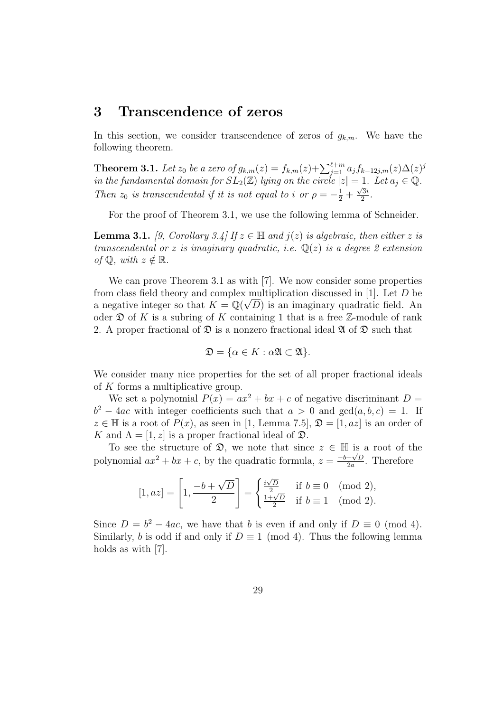## **3 Transcendence of zeros**

In this section, we consider transcendence of zeros of  $g_{k,m}$ . We have the following theorem.

**Theorem 3.1.** Let  $z_0$  be a zero of  $g_{k,m}(z) = f_{k,m}(z) + \sum_{j=1}^{\ell+m} a_j f_{k-12j,m}(z) \Delta(z)^j$ *in the fundamental domain for*  $SL_2(\mathbb{Z})$  *lying on the circle*  $|z| = 1$ *. Let*  $a_j \in \mathbb{Q}$ *. Then*  $z_0$  *is transcendental if it is not equal to <i>i or*  $\rho = -\frac{1}{2} + \frac{\sqrt{3}i}{2}$  $\frac{3i}{2}$ .

For the proof of Theorem 3.1, we use the following lemma of Schneider.

**Lemma 3.1.** *[9, Corollary 3.4]* If  $z \in \mathbb{H}$  and  $j(z)$  is algebraic, then either z is *transcendental or z is imaginary quadratic, i.e.* Q(*z*) *is a degree 2 extension of*  $\mathbb{Q}$ *, with*  $z \notin \mathbb{R}$ *.* 

We can prove Theorem 3.1 as with [7]. We now consider some properties from class field theory and complex multiplication discussed in [1]. Let *D* be *√* a negative integer so that  $K = \mathbb{Q}(\sqrt{D})$  is an imaginary quadratic field. An oder  $\mathfrak D$  of K is a subring of K containing 1 that is a free  $\mathbb Z$ -module of rank 2. A proper fractional of  $\mathfrak D$  is a nonzero fractional ideal  $\mathfrak A$  of  $\mathfrak D$  such that

$$
\mathfrak{D} = \{ \alpha \in K : \alpha \mathfrak{A} \subset \mathfrak{A} \}.
$$

We consider many nice properties for the set of all proper fractional ideals of *K* forms a multiplicative group.

We set a polynomial  $P(x) = ax^2 + bx + c$  of negative discriminant  $D =$  $b^2 - 4ac$  with integer coefficients such that  $a > 0$  and  $gcd(a, b, c) = 1$ . If  $z \in \mathbb{H}$  is a root of  $P(x)$ , as seen in [1, Lemma 7.5],  $\mathfrak{D} = [1, az]$  is an order of *K* and  $\Lambda = [1, z]$  is a proper fractional ideal of  $\mathfrak{D}$ .

To see the structure of  $\mathfrak{D}$ , we note that since  $z \in \mathbb{H}$  is a root of the polynomial  $ax^2 + bx + c$ , by the quadratic formula,  $z = \frac{-b + \sqrt{D}}{2a}$  $\frac{+\sqrt{D}}{2a}$ . Therefore

$$
[1, az] = \left[1, \frac{-b + \sqrt{D}}{2}\right] = \begin{cases} \frac{i\sqrt{D}}{2} & \text{if } b \equiv 0 \pmod{2}, \\ \frac{1 + \sqrt{D}}{2} & \text{if } b \equiv 1 \pmod{2}. \end{cases}
$$

Since  $D = b^2 - 4ac$ , we have that *b* is even if and only if  $D \equiv 0 \pmod{4}$ . Similarly, *b* is odd if and only if  $D \equiv 1 \pmod{4}$ . Thus the following lemma holds as with [7].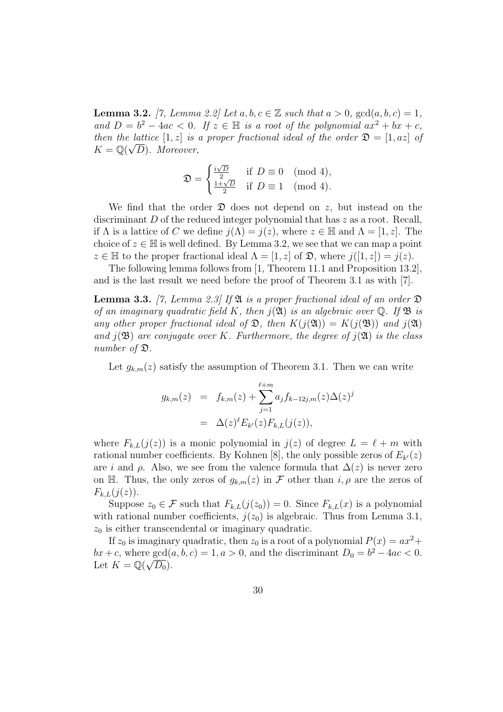**Lemma 3.2.** *[7, Lemma 2.2] Let*  $a, b, c \in \mathbb{Z}$  *such that*  $a > 0$ ,  $gcd(a, b, c) = 1$ , *and*  $D = b^2 - 4ac < 0$ . If  $z \in \mathbb{H}$  is a root of the polynomial  $ax^2 + bx + c$ , *then the lattice* [1*, z*] *is a proper fractional ideal of the order*  $\mathfrak{D} = [1, az]$  *of*  $K = \mathbb{Q}(\sqrt{D})$ *. Moreover,* 

$$
\mathfrak{D} = \begin{cases} \frac{i\sqrt{D}}{2} & \text{if } D \equiv 0 \pmod{4}, \\ \frac{1+\sqrt{D}}{2} & \text{if } D \equiv 1 \pmod{4}. \end{cases}
$$

We find that the order  $\mathfrak D$  does not depend on *z*, but instead on the discriminant *D* of the reduced integer polynomial that has *z* as a root. Recall, if  $\Lambda$  is a lattice of *C* we define  $i(\Lambda) = i(z)$ , where  $z \in \mathbb{H}$  and  $\Lambda = [1, z]$ . The choice of  $z \in \mathbb{H}$  is well defined. By Lemma 3.2, we see that we can map a point  $z \in \mathbb{H}$  to the proper fractional ideal  $\Lambda = [1, z]$  of  $\mathfrak{D}$ , where  $j([1, z]) = j(z)$ .

The following lemma follows from [1, Theorem 11.1 and Proposition 13.2], and is the last result we need before the proof of Theorem 3.1 as with [7].

**Lemma 3.3.** *[7, Lemma 2.3] If* A *is a proper fractional ideal of an order* D *of an imaginary quadratic field K, then*  $j(\mathfrak{A})$  *is an algebraic over*  $\mathbb{O}$ *. If*  $\mathfrak{B}$  *is any other proper fractional ideal of*  $\mathfrak{D}$ *, then*  $K(j(\mathfrak{A})) = K(j(\mathfrak{B}))$  *and*  $j(\mathfrak{A})$ *and*  $j(\mathfrak{B})$  *are conjugate over K. Furthermore, the degree of*  $j(\mathfrak{A})$  *is the class number of* D*.*

Let  $g_{k,m}(z)$  satisfy the assumption of Theorem 3.1. Then we can write

$$
g_{k,m}(z) = f_{k,m}(z) + \sum_{j=1}^{\ell+m} a_j f_{k-12j,m}(z) \Delta(z)^j
$$
  
=  $\Delta(z)^{\ell} E_{k'}(z) F_{k,L}(j(z)),$ 

where  $F_{k,L}(j(z))$  is a monic polynomial in  $j(z)$  of degree  $L = \ell + m$  with rational number coefficients. By Kohnen [8], the only possible zeros of  $E_{k'}(z)$ are *i* and  $\rho$ . Also, we see from the valence formula that  $\Delta(z)$  is never zero on H. Thus, the only zeros of  $g_{k,m}(z)$  in F other than  $i, \rho$  are the zeros of  $F_{k,L}(j(z)).$ 

Suppose  $z_0 \in \mathcal{F}$  such that  $F_{k,L}(j(z_0)) = 0$ . Since  $F_{k,L}(x)$  is a polynomial with rational number coefficients,  $j(z_0)$  is algebraic. Thus from Lemma 3.1,  $z_0$  is either transcendental or imaginary quadratic.

If  $z_0$  is imaginary quadratic, then  $z_0$  is a root of a polynomial  $P(x) = ax^2 +$  $bx + c$ , where  $gcd(a, b, c) = 1, a > 0$ , and the discriminant  $D_0 = b^2 - 4ac < 0$ . Let  $K = \mathbb{Q}(\sqrt{D_0}).$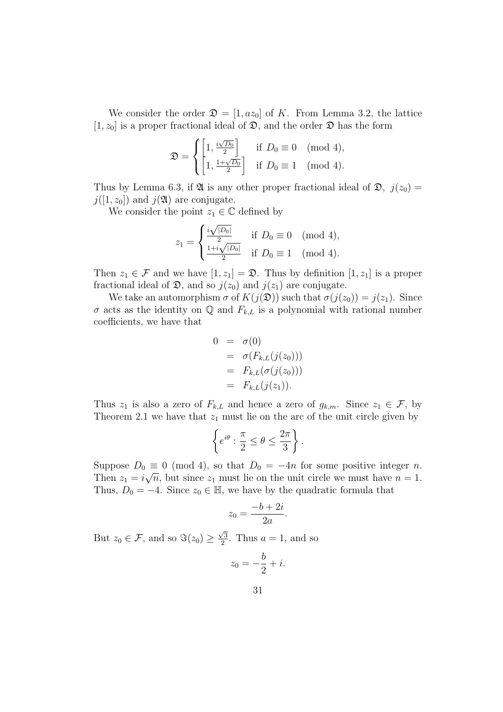We consider the order  $\mathfrak{D} = [1, az_0]$  of K. From Lemma 3.2, the lattice  $[1, z_0]$  is a proper fractional ideal of  $\mathfrak{D}$ , and the order  $\mathfrak{D}$  has the form

$$
\mathfrak{D} = \begin{cases} \left[1, \frac{i\sqrt{D_0}}{2}\right] & \text{if } D_0 \equiv 0 \pmod{4}, \\ \left[1, \frac{1+\sqrt{D_0}}{2}\right] & \text{if } D_0 \equiv 1 \pmod{4}. \end{cases}
$$

Thus by Lemma 6.3, if  $\mathfrak{A}$  is any other proper fractional ideal of  $\mathfrak{D}$ ,  $j(z_0)$  =  $j([1, z_0])$  and  $j(\mathfrak{A})$  are conjugate.

We consider the point  $z_1 \in \mathbb{C}$  defined by

$$
z_1 = \begin{cases} \frac{i\sqrt{|D_0|}}{2} & \text{if } D_0 \equiv 0 \pmod{4}, \\ \frac{1+i\sqrt{|D_0|}}{2} & \text{if } D_0 \equiv 1 \pmod{4}. \end{cases}
$$

Then  $z_1 \in \mathcal{F}$  and we have  $[1, z_1] = \mathfrak{D}$ . Thus by definition  $[1, z_1]$  is a proper fractional ideal of  $\mathfrak{D}$ , and so  $j(z_0)$  and  $j(z_1)$  are conjugate.

We take an automorphism  $\sigma$  of  $K(j(\mathfrak{D}))$  such that  $\sigma(j(z_0)) = j(z_1)$ . Since  $\sigma$  acts as the identity on  $\mathbb Q$  and  $F_{k,L}$  is a polynomial with rational number coefficients, we have that

$$
0 = \sigma(0)
$$
  
=  $\sigma(F_{k,L}(j(z_0)))$   
=  $F_{k,L}(\sigma(j(z_0)))$   
=  $F_{k,L}(j(z_1)).$ 

Thus  $z_1$  is also a zero of  $F_{k,L}$  and hence a zero of  $g_{k,m}$ . Since  $z_1 \in \mathcal{F}$ , by Theorem 2.1 we have that  $z_1$  must lie on the arc of the unit circle given by

$$
\left\{ e^{i\theta} : \frac{\pi}{2} \le \theta \le \frac{2\pi}{3} \right\}.
$$

Suppose  $D_0 \equiv 0 \pmod{4}$ , so that  $D_0 = -4n$  for some positive integer *n*. Then  $z_1 = i\sqrt{n}$ , but since  $z_1$  must lie on the unit circle we must have  $n = 1$ . Thus,  $D_0 = -4$ . Since  $z_0 \in \mathbb{H}$ , we have by the quadratic formula that

$$
z_0 = \frac{-b + 2i}{2a}.
$$

But  $z_0 \in \mathcal{F}$ , and so  $\Im(z_0) \geq$ *√* 3  $\frac{\sqrt{3}}{2}$ . Thus  $a = 1$ , and so

$$
z_0 = -\frac{b}{2} + i.
$$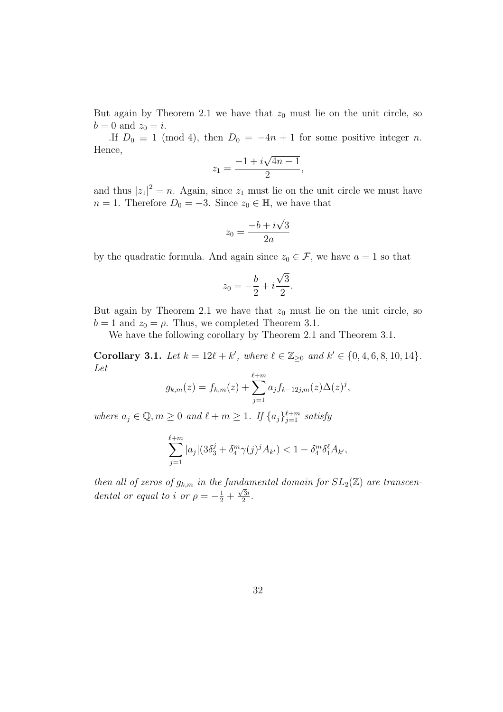But again by Theorem 2.1 we have that  $z_0$  must lie on the unit circle, so  $b = 0$  and  $z_0 = i$ .

.If  $D_0 \equiv 1 \pmod{4}$ , then  $D_0 = -4n + 1$  for some positive integer *n*. Hence, *√*

$$
z_1 = \frac{-1 + i\sqrt{4n - 1}}{2},
$$

and thus  $|z_1|^2 = n$ . Again, since  $z_1$  must lie on the unit circle we must have *n* = 1. Therefore  $D_0 = -3$ . Since  $z_0 \in \mathbb{H}$ , we have that

$$
z_0 = \frac{-b + i\sqrt{3}}{2a}
$$

by the quadratic formula. And again since  $z_0 \in \mathcal{F}$ , we have  $a = 1$  so that

$$
z_0 = -\frac{b}{2} + i\frac{\sqrt{3}}{2}.
$$

But again by Theorem 2.1 we have that  $z_0$  must lie on the unit circle, so  $b = 1$  and  $z_0 = \rho$ . Thus, we completed Theorem 3.1.

We have the following corollary by Theorem 2.1 and Theorem 3.1.

**Corollary 3.1.** Let  $k = 12\ell + k'$ , where  $\ell \in \mathbb{Z}_{\geq 0}$  and  $k' \in \{0, 4, 6, 8, 10, 14\}$ . *Let*

$$
g_{k,m}(z) = f_{k,m}(z) + \sum_{j=1}^{\ell+m} a_j f_{k-12j,m}(z) \Delta(z)^j,
$$

*where*  $a_j \in \mathbb{Q}, m \geq 0$  *and*  $\ell + m \geq 1$ *. If*  $\{a_j\}_{j=1}^{\ell+m}$  *satisfy* 

$$
\sum_{j=1}^{\ell+m} |a_j| (3\delta_3^j + \delta_4^m \gamma(j)^j A_{k'}) < 1 - \delta_4^m \delta_1^{\ell} A_{k'},
$$

*then all of zeros of*  $g_{k,m}$  *in the fundamental domain for*  $SL_2(\mathbb{Z})$  *are transcendental or equal to i or*  $\rho = -\frac{1}{2} + \frac{\sqrt{3}i}{2}$  $\frac{3i}{2}$ .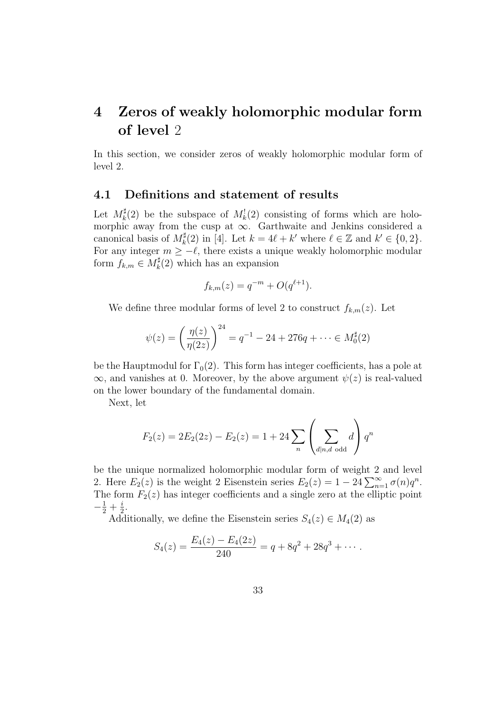# **4 Zeros of weakly holomorphic modular form of level** 2

In this section, we consider zeros of weakly holomorphic modular form of level 2.

#### **4.1 Definitions and statement of results**

Let  $M_k^{\sharp}$  $\frac{1}{k}(2)$  be the subspace of  $M_k^1(2)$  consisting of forms which are holomorphic away from the cusp at *∞*. Garthwaite and Jenkins considered a canonical basis of *M ♯*  $k^{\sharp}(2)$  in [4]. Let  $k = 4\ell + k'$  where  $\ell \in \mathbb{Z}$  and  $k' \in \{0, 2\}$ . For any integer  $m \ge -\ell$ , there exists a unique weakly holomorphic modular form  $f_{k,m} \in M_k^{\sharp}(2)$  which has an expansion

$$
f_{k,m}(z) = q^{-m} + O(q^{\ell+1}).
$$

We define three modular forms of level 2 to construct  $f_{k,m}(z)$ . Let

$$
\psi(z) = \left(\frac{\eta(z)}{\eta(2z)}\right)^{24} = q^{-1} - 24 + 276q + \dots \in M_0^{\sharp}(2)
$$

be the Hauptmodul for  $\Gamma_0(2)$ . This form has integer coefficients, has a pole at  $\infty$ , and vanishes at 0. Moreover, by the above argument  $\psi(z)$  is real-valued on the lower boundary of the fundamental domain.

Next, let

$$
F_2(z) = 2E_2(2z) - E_2(z) = 1 + 24 \sum_{n} \left( \sum_{d|n,d \text{ odd}} d \right) q^n
$$

be the unique normalized holomorphic modular form of weight 2 and level 2. Here  $E_2(z)$  is the weight 2 Eisenstein series  $E_2(z) = 1 - 24 \sum_{n=1}^{\infty} \sigma(n)q^n$ . The form  $F_2(z)$  has integer coefficients and a single zero at the elliptic point  $-\frac{1}{2} + \frac{i}{2}$  $\frac{i}{2}$ .

Additionally, we define the Eisenstein series  $S_4(z) \in M_4(2)$  as

$$
S_4(z) = \frac{E_4(z) - E_4(2z)}{240} = q + 8q^2 + 28q^3 + \cdots
$$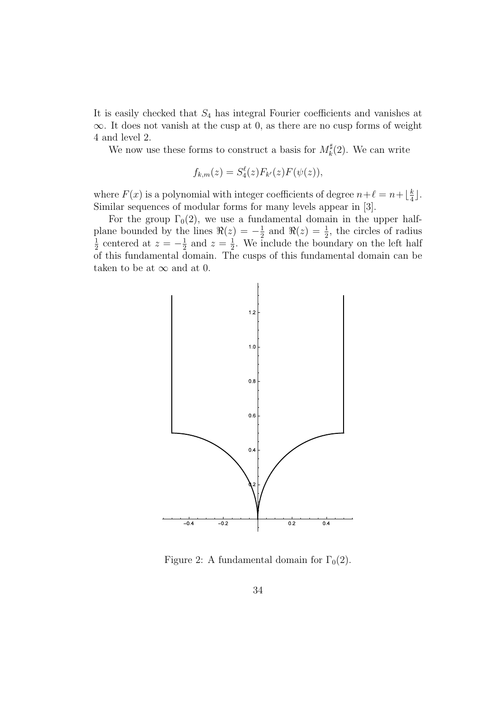It is easily checked that *S*<sup>4</sup> has integral Fourier coefficients and vanishes at *∞*. It does not vanish at the cusp at 0, as there are no cusp forms of weight 4 and level 2.

We now use these forms to construct a basis for  $M_k^{\sharp}$  $\mathcal{L}_k^{\sharp}(2)$ . We can write

$$
f_{k,m}(z) = S_4^{\ell}(z) F_{k'}(z) F(\psi(z)),
$$

where  $F(x)$  is a polynomial with integer coefficients of degree  $n+\ell = n+\lfloor \frac{k}{4} \rfloor$  $\frac{k}{4}$ . Similar sequences of modular forms for many levels appear in [3].

For the group  $\Gamma_0(2)$ , we use a fundamental domain in the upper halfplane bounded by the lines  $\Re(z) = -\frac{1}{2}$  $\frac{1}{2}$  and  $\Re(z) = \frac{1}{2}$ , the circles of radius 1  $\frac{1}{2}$  centered at  $z = -\frac{1}{2}$  $\frac{1}{2}$  and  $z = \frac{1}{2}$  $\frac{1}{2}$ . We include the boundary on the left half of this fundamental domain. The cusps of this fundamental domain can be taken to be at  $\infty$  and at 0.



Figure 2: A fundamental domain for  $\Gamma_0(2)$ .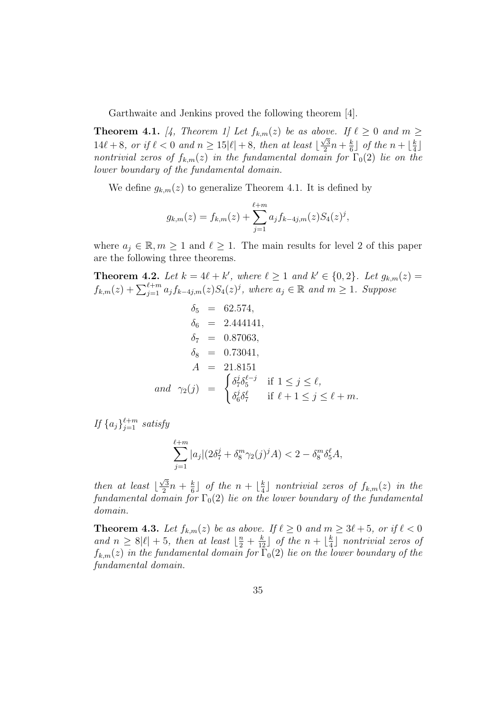Garthwaite and Jenkins proved the following theorem [4].

**Theorem 4.1.** [4, Theorem 1] Let  $f_{k,m}(z)$  be as above. If  $\ell \geq 0$  and  $m \geq 0$  $14\ell + 8$ *, or if*  $\ell < 0$  *and*  $n \geq 15|\ell| + 8$ *, then at least* [ *√* 3  $\frac{\sqrt{3}}{2}n + \frac{k}{6}$  $\frac{k}{6}$ ] *of the*  $n + \lfloor \frac{k}{4} \rfloor$  $\frac{k}{4}$ *nontrivial zeros of*  $f_{k,m}(z)$  *in the fundamental domain for*  $\Gamma_0(2)$  *lie on the lower boundary of the fundamental domain.*

We define  $g_{k,m}(z)$  to generalize Theorem 4.1. It is defined by

$$
g_{k,m}(z) = f_{k,m}(z) + \sum_{j=1}^{\ell+m} a_j f_{k-4j,m}(z) S_4(z)^j,
$$

where  $a_j \in \mathbb{R}, m \geq 1$  and  $\ell \geq 1$ . The main results for level 2 of this paper are the following three theorems.

**Theorem 4.2.** Let  $k = 4\ell + k'$ , where  $\ell \geq 1$  and  $k' \in \{0, 2\}$ . Let  $g_{k,m}(z) =$  $f_{k,m}(z) + \sum_{j=1}^{\ell+m} a_j f_{k-4j,m}(z) S_4(z)^j$ , where  $a_j \in \mathbb{R}$  and  $m \ge 1$ . Suppose

$$
\delta_5 = 62.574, \n\delta_6 = 2.444141, \n\delta_7 = 0.87063, \n\delta_8 = 0.73041, \nA = 21.8151 \nand  $\gamma_2(j) = \begin{cases}\n\delta_7^j \delta_5^{\ell-j} & \text{if } 1 \le j \le \ell, \n\delta_6^j \delta_7^{\ell} & \text{if } \ell + 1 \le j \le \ell + m.\n\end{cases}$
$$

*If*  $\{a_j\}_{j=1}^{\ell+m}$  *satisfy* 

$$
\sum_{j=1}^{\ell+m} |a_j| (2\delta_7^j + \delta_8^m \gamma_2(j)^j A) < 2 - \delta_8^m \delta_5^{\ell} A,
$$

*then at least*  $\vert$ *√* 3  $\frac{\sqrt{3}}{2}n + \frac{k}{6}$  $\frac{k}{6}$ ] *of the*  $n + \lfloor \frac{k}{4} \rfloor$  $\frac{k}{4}$ ] *nontrivial zeros of*  $f_{k,m}(z)$  *in the fundamental domain for*  $\Gamma_0(2)$  *lie on the lower boundary of the fundamental domain.*

**Theorem 4.3.** Let  $f_{k,m}(z)$  be as above. If  $\ell \geq 0$  and  $m \geq 3\ell + 5$ , or if  $\ell < 0$ *and*  $n \geq 8|\ell| + 5$ *, then at least*  $\left\lfloor \frac{n}{2} + \frac{k}{12} \right\rfloor$  *of the*  $n + \left\lfloor \frac{k}{4} \right\rfloor$  $\frac{k}{4}$ ] *nontrivial zeros of*  $f_{k,m}(z)$  *in the fundamental domain for*  $\Gamma_0(2)$  *lie on the lower boundary of the fundamental domain.*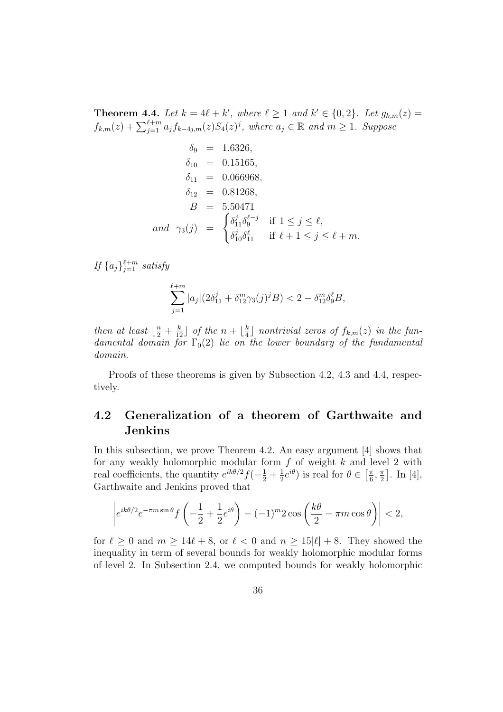**Theorem 4.4.** Let  $k = 4\ell + k'$ , where  $\ell \geq 1$  and  $k' \in \{0, 2\}$ . Let  $g_{k,m}(z) =$  $f_{k,m}(z) + \sum_{j=1}^{\ell+m} a_j f_{k-4j,m}(z) S_4(z)^j$ , where  $a_j \in \mathbb{R}$  and  $m \ge 1$ . Suppose

$$
\delta_9 = 1.6326,
$$
\n
$$
\delta_{10} = 0.15165,
$$
\n
$$
\delta_{11} = 0.066968,
$$
\n
$$
\delta_{12} = 0.81268,
$$
\n
$$
B = 5.50471,
$$
\nand 
$$
\gamma_3(j) = \begin{cases}\n\delta_{11}^j \delta_9^{\ell-j} & \text{if } 1 \le j \le \ell, \\
\delta_{10}^j \delta_{11}^{\ell} & \text{if } \ell + 1 \le j \le \ell + m.\n\end{cases}
$$

*If*  $\{a_j\}_{j=1}^{\ell+m}$  *satisfy* 

$$
\sum_{j=1}^{\ell+m} |a_j| (2\delta_{11}^j + \delta_{12}^m \gamma_3(j)^j B) < 2 - \delta_{12}^m \delta_9^{\ell} B,
$$

*then at least*  $\left\lfloor \frac{n}{2} + \frac{k}{12} \right\rfloor$  *of the*  $n + \left\lfloor \frac{k}{4} \right\rfloor$  $\frac{k}{4}$ ] nontrivial zeros of  $f_{k,m}(z)$  in the fun*damental domain for*  $\Gamma_0(2)$  *lie on the lower boundary of the fundamental domain.*

Proofs of these theorems is given by Subsection 4.2, 4.3 and 4.4, respectively.

### **4.2 Generalization of a theorem of Garthwaite and Jenkins**

In this subsection, we prove Theorem 4.2. An easy argument [4] shows that for any weakly holomorphic modular form *f* of weight *k* and level 2 with real coefficients, the quantity  $e^{ik\theta/2}f(-\frac{1}{2} + \frac{1}{2})$  $(\frac{1}{2}e^{i\theta})$  is real for  $\theta \in \left[\frac{\pi}{6}\right]$  $\frac{\pi}{6}$ ,  $\frac{\pi}{2}$  $\frac{\pi}{2}$ . In [4], Garthwaite and Jenkins proved that

$$
\left| e^{ik\theta/2} e^{-\pi m \sin \theta} f\left(-\frac{1}{2} + \frac{1}{2} e^{i\theta}\right) - (-1)^m 2 \cos\left(\frac{k\theta}{2} - \pi m \cos \theta\right) \right| < 2,
$$

for  $\ell \geq 0$  and  $m \geq 14\ell + 8$ , or  $\ell < 0$  and  $n \geq 15|\ell| + 8$ . They showed the inequality in term of several bounds for weakly holomorphic modular forms of level 2. In Subsection 2.4, we computed bounds for weakly holomorphic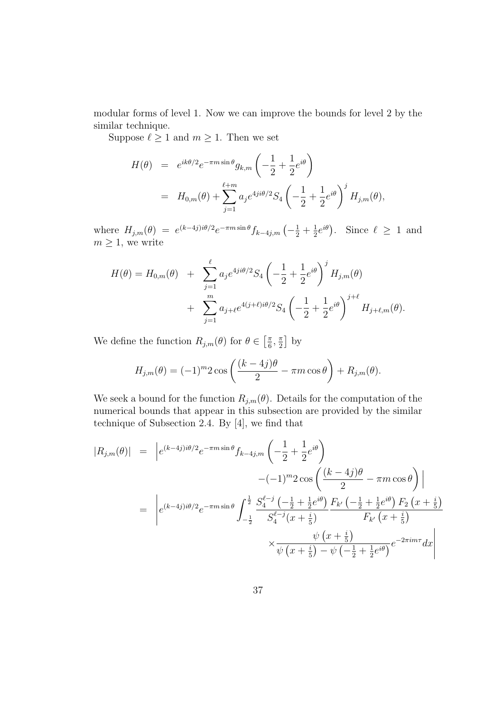modular forms of level 1. Now we can improve the bounds for level 2 by the similar technique.

Suppose  $\ell \geq 1$  and  $m \geq 1$ . Then we set

$$
H(\theta) = e^{ik\theta/2} e^{-\pi m \sin \theta} g_{k,m} \left( -\frac{1}{2} + \frac{1}{2} e^{i\theta} \right)
$$
  
=  $H_{0,m}(\theta) + \sum_{j=1}^{\ell+m} a_j e^{4ji\theta/2} S_4 \left( -\frac{1}{2} + \frac{1}{2} e^{i\theta} \right)^j H_{j,m}(\theta),$ 

where  $H_{j,m}(\theta) = e^{(k-4j)i\theta/2}e^{-\pi m \sin \theta} f_{k-4j,m}(-\frac{1}{2} + \frac{1}{2})$  $(\frac{1}{2}e^{i\theta})$ . Since  $\ell \geq 1$  and  $m \geq 1$ , we write

$$
H(\theta) = H_{0,m}(\theta) + \sum_{j=1}^{\ell} a_j e^{4ji\theta/2} S_4 \left( -\frac{1}{2} + \frac{1}{2} e^{i\theta} \right)^j H_{j,m}(\theta) + \sum_{j=1}^m a_{j+\ell} e^{4(j+\ell)i\theta/2} S_4 \left( -\frac{1}{2} + \frac{1}{2} e^{i\theta} \right)^{j+\ell} H_{j+\ell,m}(\theta).
$$

We define the function  $R_{j,m}(\theta)$  for  $\theta \in \left[\frac{\pi}{6}\right]$  $\frac{\pi}{6}$ ,  $\frac{\pi}{2}$  $\frac{\pi}{2}$  by

$$
H_{j,m}(\theta) = (-1)^m 2 \cos\left(\frac{(k-4j)\theta}{2} - \pi m \cos\theta\right) + R_{j,m}(\theta).
$$

We seek a bound for the function  $R_{j,m}(\theta)$ . Details for the computation of the numerical bounds that appear in this subsection are provided by the similar technique of Subsection 2.4. By [4], we find that

$$
|R_{j,m}(\theta)| = |e^{(k-4j)i\theta/2}e^{-\pi m \sin \theta} f_{k-4j,m} \left( -\frac{1}{2} + \frac{1}{2}e^{i\theta} \right)
$$
  

$$
-(-1)^m 2 \cos \left( \frac{(k-4j)\theta}{2} - \pi m \cos \theta \right) |
$$
  

$$
= |e^{(k-4j)i\theta/2}e^{-\pi m \sin \theta} \int_{-\frac{1}{2}}^{\frac{1}{2}} \frac{S_4^{\ell-j} \left( -\frac{1}{2} + \frac{1}{2}e^{i\theta} \right) F_{k'} \left( -\frac{1}{2} + \frac{1}{2}e^{i\theta} \right) F_2 \left( x + \frac{i}{5} \right)}{F_{k'} \left( x + \frac{i}{5} \right)}
$$
  

$$
\times \frac{\psi \left( x + \frac{i}{5} \right)}{\psi \left( x + \frac{i}{5} \right) - \psi \left( -\frac{1}{2} + \frac{1}{2}e^{i\theta} \right)} e^{-2\pi i m \tau} dx
$$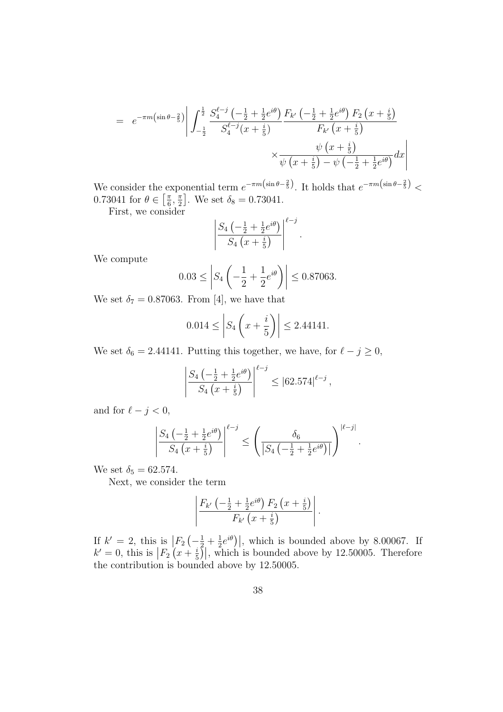$$
= e^{-\pi m \left(\sin \theta - \frac{2}{5}\right)} \left| \int_{-\frac{1}{2}}^{\frac{1}{2}} \frac{S_4^{\ell-j} \left(-\frac{1}{2} + \frac{1}{2} e^{i\theta}\right) F_{k'} \left(-\frac{1}{2} + \frac{1}{2} e^{i\theta}\right) F_2 \left(x + \frac{i}{5}\right)}{S_4^{\ell-j} (x + \frac{i}{5})} \right|
$$
  

$$
\times \frac{\psi \left(x + \frac{i}{5}\right)}{\psi \left(x + \frac{i}{5}\right) - \psi \left(-\frac{1}{2} + \frac{1}{2} e^{i\theta}\right)} dx
$$

We consider the exponential term  $e^{-\pi m(\sin \theta - \frac{2}{5})}$ . It holds that  $e^{-\pi m(\sin \theta - \frac{2}{5})}$  $0.73041$  for  $\theta \in \left[\frac{\pi}{6}\right]$  $\frac{\pi}{6}$ ,  $\frac{\pi}{2}$  $\frac{\pi}{2}$ . We set  $\delta_8 = 0.73041$ .

First, we consider

$$
\left|\frac{S_4\left(-\frac{1}{2} + \frac{1}{2}e^{i\theta}\right)}{S_4\left(x + \frac{i}{5}\right)}\right|^{\ell - j}.
$$

We compute

$$
0.03 \le \left| S_4 \left( -\frac{1}{2} + \frac{1}{2} e^{i\theta} \right) \right| \le 0.87063.
$$

We set  $\delta_7 = 0.87063$ . From [4], we have that

$$
0.014 \le \left| S_4 \left( x + \frac{i}{5} \right) \right| \le 2.44141.
$$

We set  $\delta_6 = 2.44141$ . Putting this together, we have, for  $\ell - j \geq 0$ ,

$$
\left| \frac{S_4\left(-\frac{1}{2} + \frac{1}{2}e^{i\theta}\right)}{S_4\left(x + \frac{i}{5}\right)} \right|^{\ell - j} \leq |62.574|^{\ell - j},
$$

and for  $\ell - j < 0$ ,

$$
\left|\frac{S_4\left(-\frac{1}{2} + \frac{1}{2}e^{i\theta}\right)}{S_4\left(x + \frac{i}{5}\right)}\right|^{\ell - j} \le \left(\frac{\delta_6}{\left|S_4\left(-\frac{1}{2} + \frac{1}{2}e^{i\theta}\right)\right|}\right)^{|\ell - j|}.
$$

We set  $\delta_5 = 62.574$ .

Next, we consider the term

$$
\left|\frac{F_{k'}\left(-\frac{1}{2}+\frac{1}{2}e^{i\theta}\right)F_2\left(x+\frac{i}{5}\right)}{F_{k'}\left(x+\frac{i}{5}\right)}\right|.
$$

If  $k' = 2$ , this is  $\left| F_2 \left( -\frac{1}{2} + \frac{1}{2} \right) \right|$  $\frac{1}{2}e^{i\theta}$ , which is bounded above by 8.00067. If  $k' = 0$ , this is  $\left| F_2 \left( x + \frac{i}{5} \right) \right|$  $\frac{i}{5}$ , which is bounded above by 12.50005. Therefore the contribution is bounded above by 12*.*50005.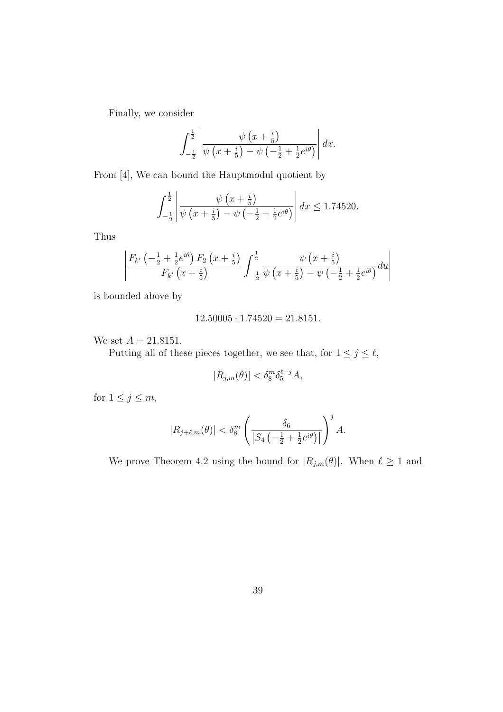Finally, we consider

$$
\int_{-\frac{1}{2}}^{\frac{1}{2}} \left| \frac{\psi\left(x+\frac{i}{5}\right)}{\psi\left(x+\frac{i}{5}\right)-\psi\left(-\frac{1}{2}+\frac{1}{2}e^{i\theta}\right)} \right| dx.
$$

From [4], We can bound the Hauptmodul quotient by

$$
\int_{-\frac{1}{2}}^{\frac{1}{2}} \left| \frac{\psi\left(x + \frac{i}{5}\right)}{\psi\left(x + \frac{i}{5}\right) - \psi\left(-\frac{1}{2} + \frac{1}{2}e^{i\theta}\right)} \right| dx \le 1.74520.
$$

Thus

$$
\left| \frac{F_{k'}\left(-\frac{1}{2} + \frac{1}{2}e^{i\theta}\right)F_2\left(x + \frac{i}{5}\right)}{F_{k'}\left(x + \frac{i}{5}\right)} \int_{-\frac{1}{2}}^{\frac{1}{2}} \frac{\psi\left(x + \frac{i}{5}\right)}{\psi\left(x + \frac{i}{5}\right) - \psi\left(-\frac{1}{2} + \frac{1}{2}e^{i\theta}\right)} du \right|
$$

is bounded above by

$$
12.50005 \cdot 1.74520 = 21.8151.
$$

We set  $A = 21.8151$ .

Putting all of these pieces together, we see that, for  $1 \leq j \leq \ell$ ,

$$
|R_{j,m}(\theta)| < \delta_8^m \delta_5^{\ell-j} A,
$$

for  $1 \leq j \leq m$ ,

$$
|R_{j+\ell,m}(\theta)| < \delta_8^m \left( \frac{\delta_6}{\left| S_4\left(-\frac{1}{2} + \frac{1}{2}e^{i\theta}\right) \right|} \right)^j A.
$$

We prove Theorem 4.2 using the bound for  $|R_{j,m}(\theta)|$ . When  $\ell \geq 1$  and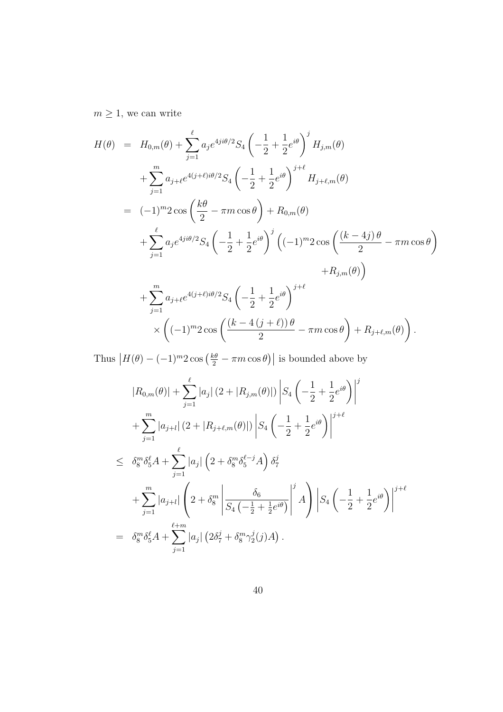$m\geq 1,$  we can write

$$
H(\theta) = H_{0,m}(\theta) + \sum_{j=1}^{\ell} a_j e^{4ji\theta/2} S_4 \left( -\frac{1}{2} + \frac{1}{2} e^{i\theta} \right)^j H_{j,m}(\theta)
$$
  
+ 
$$
\sum_{j=1}^m a_{j+\ell} e^{4(j+\ell)i\theta/2} S_4 \left( -\frac{1}{2} + \frac{1}{2} e^{i\theta} \right)^{j+\ell} H_{j+\ell,m}(\theta)
$$
  
= 
$$
(-1)^m 2 \cos \left( \frac{k\theta}{2} - \pi m \cos \theta \right) + R_{0,m}(\theta)
$$
  
+ 
$$
\sum_{j=1}^{\ell} a_j e^{4ji\theta/2} S_4 \left( -\frac{1}{2} + \frac{1}{2} e^{i\theta} \right)^j \left( (-1)^m 2 \cos \left( \frac{(k-4j)\theta}{2} - \pi m \cos \theta \right) \right)
$$
  
+ 
$$
R_{j,m}(\theta) \right)
$$
  
+ 
$$
\sum_{j=1}^m a_{j+\ell} e^{4(j+\ell)i\theta/2} S_4 \left( -\frac{1}{2} + \frac{1}{2} e^{i\theta} \right)^{j+\ell}
$$
  
× 
$$
\left( (-1)^m 2 \cos \left( \frac{(k-4(j+\ell))\theta}{2} - \pi m \cos \theta \right) + R_{j+\ell,m}(\theta) \right).
$$

Thus  $|H(\theta) - (-1)^m 2 \cos \left(\frac{k\theta}{2} - \pi m \cos \theta\right)|$  is bounded above by

$$
|R_{0,m}(\theta)| + \sum_{j=1}^{\ell} |a_j| (2 + |R_{j,m}(\theta)|) |S_4 \left(-\frac{1}{2} + \frac{1}{2} e^{i\theta}\right)|^j
$$
  
+ 
$$
\sum_{j=1}^m |a_{j+l}| (2 + |R_{j+\ell,m}(\theta)|) |S_4 \left(-\frac{1}{2} + \frac{1}{2} e^{i\theta}\right)|^{j+\ell}
$$
  

$$
\leq \delta_8^m \delta_5^{\ell} A + \sum_{j=1}^{\ell} |a_j| \left(2 + \delta_8^m \delta_5^{\ell-j} A\right) \delta_7^j
$$
  
+ 
$$
\sum_{j=1}^m |a_{j+l}| \left(2 + \delta_8^m \left|\frac{\delta_6}{S_4 \left(-\frac{1}{2} + \frac{1}{2} e^{i\theta}\right)}\right|^j A\right) |S_4 \left(-\frac{1}{2} + \frac{1}{2} e^{i\theta}\right)|^{j+\ell}
$$
  
= 
$$
\delta_8^m \delta_5^{\ell} A + \sum_{j=1}^{\ell+m} |a_j| \left(2\delta_7^j + \delta_8^m \gamma_2^j(j) A\right).
$$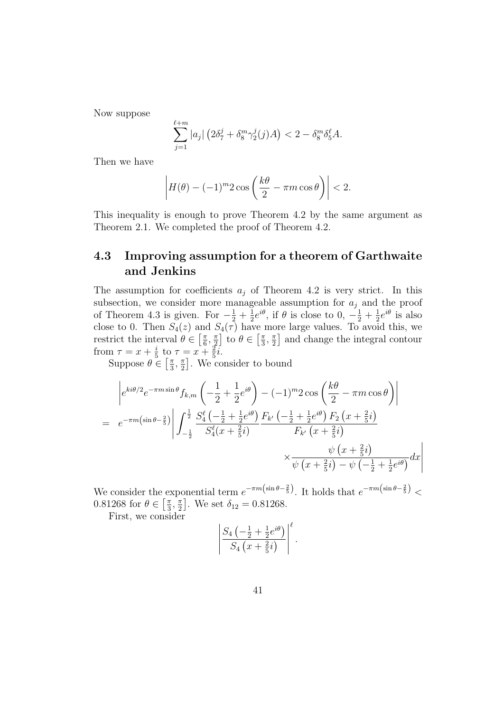Now suppose

$$
\sum_{j=1}^{\ell+m} |a_j| \left( 2\delta_7^j + \delta_8^m \gamma_2^j(j)A \right) < 2 - \delta_8^m \delta_5^{\ell} A.
$$

Then we have

$$
\left| H(\theta) - (-1)^m 2 \cos \left( \frac{k\theta}{2} - \pi m \cos \theta \right) \right| < 2.
$$

This inequality is enough to prove Theorem 4.2 by the same argument as Theorem 2.1. We completed the proof of Theorem 4.2.

## **4.3 Improving assumption for a theorem of Garthwaite and Jenkins**

The assumption for coefficients  $a_j$  of Theorem 4.2 is very strict. In this subsection, we consider more manageable assumption for *a<sup>j</sup>* and the proof of Theorem 4.3 is given. For  $-\frac{1}{2} + \frac{1}{2}$  $\frac{1}{2}e^{i\theta}$ , if  $\theta$  is close to  $0, -\frac{1}{2} + \frac{1}{2}$  $\frac{1}{2}e^{i\theta}$  is also close to 0. Then  $S_4(z)$  and  $S_4(\tau)$  have more large values. To avoid this, we restrict the interval  $\theta \in \left[\frac{\pi}{6}\right]$  $\frac{\pi}{6}, \frac{\pi}{2}$  $\left[\frac{\pi}{2}\right]$  to  $\theta \in \left[\frac{\pi}{3}\right]$  $\frac{\pi}{3}$ ,  $\frac{\pi}{2}$  $\frac{\pi}{2}$  and change the integral contour from  $\tau = x + \frac{i}{5}$  $\frac{i}{5}$  to  $\tau = x + \frac{2}{5}$  $\frac{2}{5}$ *i*.

Suppose  $\theta \in \left[\frac{\pi}{3}\right]$  $\frac{\pi}{3}, \frac{\pi}{2}$  $\frac{\pi}{2}$ . We consider to bound

$$
\begin{split}\n&= e^{-\pi m \sin \theta} f_{k,m} \left( -\frac{1}{2} + \frac{1}{2} e^{i\theta} \right) - (-1)^m 2 \cos \left( \frac{k\theta}{2} - \pi m \cos \theta \right) \\
&= e^{-\pi m \left( \sin \theta - \frac{2}{5} \right)} \left| \int_{-\frac{1}{2}}^{\frac{1}{2}} \frac{S_4^{\ell} \left( -\frac{1}{2} + \frac{1}{2} e^{i\theta} \right)}{S_4^{\ell} (x + \frac{2}{5} i)} \frac{F_{k'} \left( -\frac{1}{2} + \frac{1}{2} e^{i\theta} \right) F_2 \left( x + \frac{2}{5} i \right)}{F_{k'} \left( x + \frac{2}{5} i \right)} \\
&\times \frac{\psi \left( x + \frac{2}{5} i \right)}{\psi \left( x + \frac{2}{5} i \right) - \psi \left( -\frac{1}{2} + \frac{1}{2} e^{i\theta} \right)} dx\n\end{split}
$$

We consider the exponential term  $e^{-\pi m(\sin \theta - \frac{2}{5})}$ . It holds that  $e^{-\pi m(\sin \theta - \frac{2}{5})}$  $0.81268$  for  $\theta \in \left[\frac{\pi}{3}\right]$  $\frac{\pi}{3}$ ,  $\frac{\pi}{2}$  $\frac{\pi}{2}$ . We set  $\delta_{12} = 0.81268$ .

First, we consider

$$
\left|\frac{S_4\left(-\frac{1}{2} + \frac{1}{2}e^{i\theta}\right)}{S_4\left(x + \frac{2}{5}i\right)}\right|^{\ell}.
$$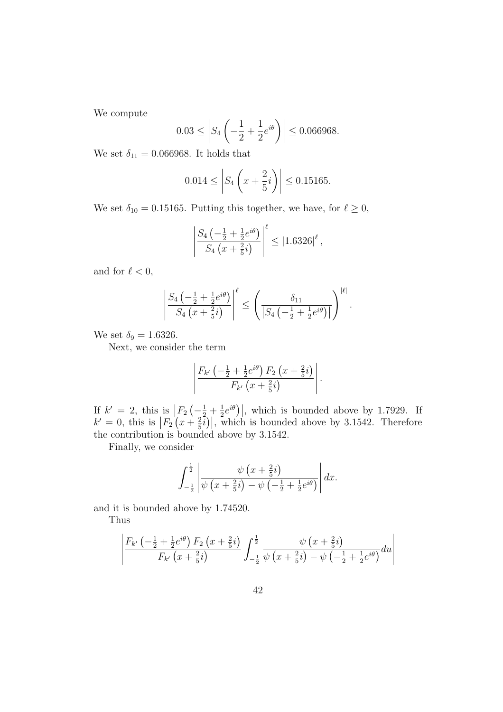We compute

$$
0.03 \le \left| S_4 \left( -\frac{1}{2} + \frac{1}{2} e^{i\theta} \right) \right| \le 0.066968.
$$

We set  $\delta_{11} = 0.066968$ . It holds that

$$
0.014 \le \left| S_4 \left( x + \frac{2}{5}i \right) \right| \le 0.15165.
$$

We set  $\delta_{10} = 0.15165$ . Putting this together, we have, for  $\ell \geq 0$ ,

$$
\left| \frac{S_4\left(-\frac{1}{2} + \frac{1}{2}e^{i\theta}\right)}{S_4\left(x + \frac{2}{5}i\right)} \right|^{\ell} \le |1.6326|^{\ell},
$$

and for  $\ell < 0$ ,

$$
\left|\frac{S_4\left(-\frac{1}{2} + \frac{1}{2}e^{i\theta}\right)}{S_4\left(x + \frac{2}{5}i\right)}\right|^{\ell} \le \left(\frac{\delta_{11}}{|S_4\left(-\frac{1}{2} + \frac{1}{2}e^{i\theta}\right)|}\right)^{|\ell|}.
$$

We set  $\delta_9 = 1.6326$ .

Next, we consider the term

$$
\left|\frac{F_{k'}\left(-\frac{1}{2}+\frac{1}{2}e^{i\theta}\right)F_2\left(x+\frac{2}{5}i\right)}{F_{k'}\left(x+\frac{2}{5}i\right)}\right|.
$$

If  $k' = 2$ , this is  $\left| F_2 \left( -\frac{1}{2} + \frac{1}{2} \right) \right|$  $\frac{1}{2}e^{i\theta}$ , which is bounded above by 1.7929. If  $k' = 0$ , this is  $\left| F_2 \left( x + \frac{2}{5} \right) \right|$  $\left(\frac{2}{5}i\right)\right|$ , which is bounded above by 3.1542. Therefore the contribution is bounded above by 3*.*1542.

Finally, we consider

$$
\int_{-\frac{1}{2}}^{\frac{1}{2}} \left| \frac{\psi\left(x+\frac{2}{5}i\right)}{\psi\left(x+\frac{2}{5}i\right)-\psi\left(-\frac{1}{2}+\frac{1}{2}e^{i\theta}\right)} \right| dx.
$$

and it is bounded above by 1.74520.

Thus

$$
\left| \frac{F_{k'}\left(-\frac{1}{2} + \frac{1}{2}e^{i\theta}\right)F_2\left(x + \frac{2}{5}i\right)}{F_{k'}\left(x + \frac{2}{5}i\right)} \int_{-\frac{1}{2}}^{\frac{1}{2}} \frac{\psi\left(x + \frac{2}{5}i\right)}{\psi\left(x + \frac{2}{5}i\right) - \psi\left(-\frac{1}{2} + \frac{1}{2}e^{i\theta}\right)} du \right|
$$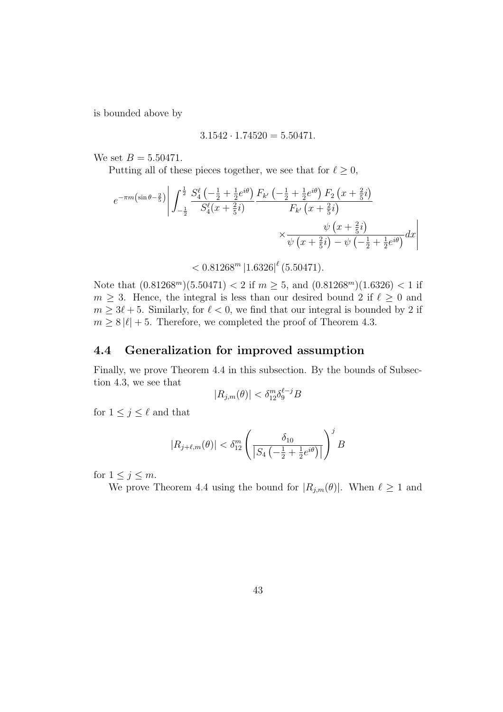is bounded above by

$$
3.1542 \cdot 1.74520 = 5.50471.
$$

We set  $B = 5.50471$ .

Putting all of these pieces together, we see that for  $\ell \geq 0$ ,

$$
e^{-\pi m \left(\sin \theta - \frac{2}{5}\right)} \left| \int_{-\frac{1}{2}}^{\frac{1}{2}} \frac{S_4^{\ell} \left(-\frac{1}{2} + \frac{1}{2} e^{i\theta}\right) F_{k'}\left(-\frac{1}{2} + \frac{1}{2} e^{i\theta}\right) F_2\left(x + \frac{2}{5}i\right)}{S_4^{\ell} (x + \frac{2}{5}i)} \right|
$$
  
\$\times \frac{\psi \left(x + \frac{2}{5}i\right)}{\psi \left(x + \frac{2}{5}i\right) - \psi \left(-\frac{1}{2} + \frac{1}{2} e^{i\theta}\right)} dx\$

 $< 0.81268^m \, |1.6326|$ <sup> $\ell$ </sup> (5.50471)*.* 

Note that  $(0.81268<sup>m</sup>)(5.50471) < 2$  if  $m \ge 5$ , and  $(0.81268<sup>m</sup>)(1.6326) < 1$  if  $m \geq 3$ . Hence, the integral is less than our desired bound 2 if  $\ell \geq 0$  and  $m \geq 3\ell + 5$ . Similarly, for  $\ell < 0$ , we find that our integral is bounded by 2 if  $m \geq 8 |\ell| + 5$ . Therefore, we completed the proof of Theorem 4.3.

#### **4.4 Generalization for improved assumption**

Finally, we prove Theorem 4.4 in this subsection. By the bounds of Subsection 4.3, we see that

$$
|R_{j,m}(\theta)| < \delta_{12}^m \delta_9^{\ell-j} B
$$

for  $1 \leq j \leq \ell$  and that

$$
|R_{j+\ell,m}(\theta)| < \delta_{12}^m \left( \frac{\delta_{10}}{|S_4\left(-\frac{1}{2} + \frac{1}{2}e^{i\theta}\right)|} \right)^j B
$$

for  $1 \leq j \leq m$ .

We prove Theorem 4.4 using the bound for  $|R_{j,m}(\theta)|$ . When  $\ell \geq 1$  and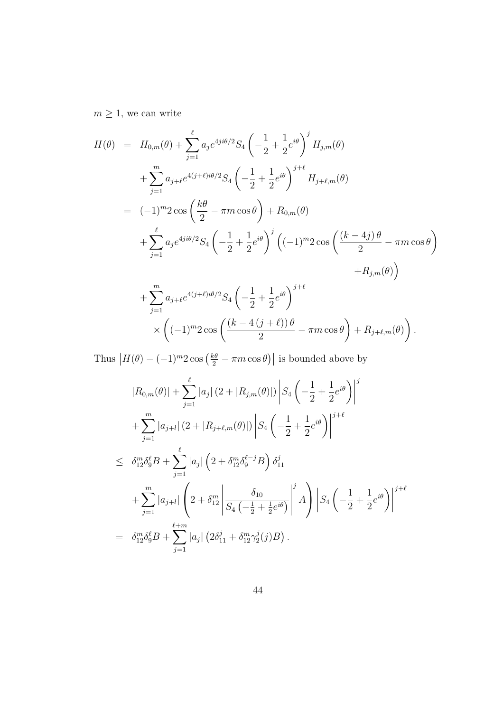$m\geq 1,$  we can write

$$
H(\theta) = H_{0,m}(\theta) + \sum_{j=1}^{\ell} a_j e^{4ji\theta/2} S_4 \left( -\frac{1}{2} + \frac{1}{2} e^{i\theta} \right)^j H_{j,m}(\theta)
$$
  
+ 
$$
\sum_{j=1}^m a_{j+\ell} e^{4(j+\ell)i\theta/2} S_4 \left( -\frac{1}{2} + \frac{1}{2} e^{i\theta} \right)^{j+\ell} H_{j+\ell,m}(\theta)
$$
  
= 
$$
(-1)^m 2 \cos \left( \frac{k\theta}{2} - \pi m \cos \theta \right) + R_{0,m}(\theta)
$$
  
+ 
$$
\sum_{j=1}^{\ell} a_j e^{4ji\theta/2} S_4 \left( -\frac{1}{2} + \frac{1}{2} e^{i\theta} \right)^j \left( (-1)^m 2 \cos \left( \frac{(k-4j)\theta}{2} - \pi m \cos \theta \right) + R_{j,m}(\theta) \right)
$$
  
+ 
$$
\sum_{j=1}^m a_{j+\ell} e^{4(j+\ell)i\theta/2} S_4 \left( -\frac{1}{2} + \frac{1}{2} e^{i\theta} \right)^{j+\ell}
$$
  

$$
\times \left( (-1)^m 2 \cos \left( \frac{(k-4(j+\ell))\theta}{2} - \pi m \cos \theta \right) + R_{j+\ell,m}(\theta) \right).
$$

Thus  $|H(\theta) - (-1)^m 2 \cos \left(\frac{k\theta}{2} - \pi m \cos \theta\right)|$  is bounded above by

$$
|R_{0,m}(\theta)| + \sum_{j=1}^{\ell} |a_j| (2 + |R_{j,m}(\theta)|) |S_4 \left(-\frac{1}{2} + \frac{1}{2} e^{i\theta}\right)|^j
$$
  
+ 
$$
\sum_{j=1}^m |a_{j+l}| (2 + |R_{j+\ell,m}(\theta)|) |S_4 \left(-\frac{1}{2} + \frac{1}{2} e^{i\theta}\right)|^{j+\ell}
$$
  

$$
\leq \delta_{12}^m \delta_9^{\ell} B + \sum_{j=1}^{\ell} |a_j| \left(2 + \delta_{12}^m \delta_9^{\ell-j} B\right) \delta_{11}^j
$$
  
+ 
$$
\sum_{j=1}^m |a_{j+l}| \left(2 + \delta_{12}^m \left|\frac{\delta_{10}}{S_4 \left(-\frac{1}{2} + \frac{1}{2} e^{i\theta}\right)}\right|^j A\right) |S_4 \left(-\frac{1}{2} + \frac{1}{2} e^{i\theta}\right)|^{j+\ell}
$$
  
= 
$$
\delta_{12}^m \delta_9^{\ell} B + \sum_{j=1}^{\ell+m} |a_j| \left(2\delta_{11}^j + \delta_{12}^m \gamma_2^j(j) B\right).
$$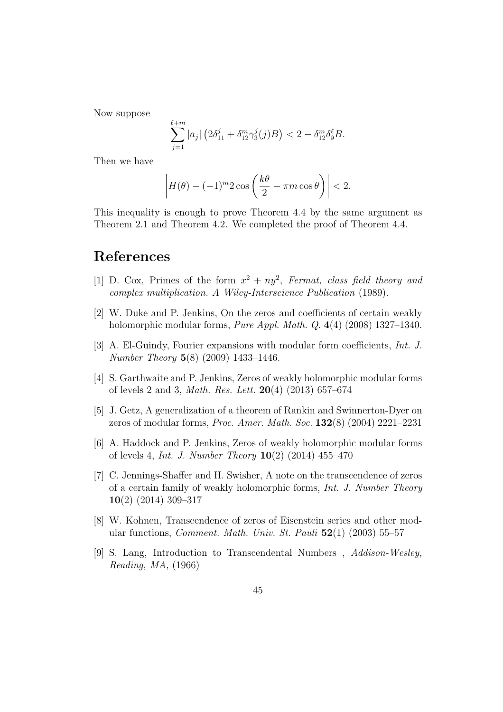Now suppose

$$
\sum_{j=1}^{\ell+m} |a_j| \left( 2\delta_{11}^j + \delta_{12}^m \gamma_3^j(j)B \right) < 2 - \delta_{12}^m \delta_9^{\ell} B.
$$

Then we have

$$
\left| H(\theta) - (-1)^m 2 \cos \left( \frac{k\theta}{2} - \pi m \cos \theta \right) \right| < 2.
$$

This inequality is enough to prove Theorem 4.4 by the same argument as Theorem 2.1 and Theorem 4.2. We completed the proof of Theorem 4.4.

# **References**

- [1] D. Cox, Primes of the form  $x^2 + ny^2$ , Fermat, class field theory and *complex multiplication. A Wiley-Interscience Publication* (1989).
- [2] W. Duke and P. Jenkins, On the zeros and coefficients of certain weakly holomorphic modular forms, *Pure Appl. Math. Q.* **4**(4) (2008) 1327–1340.
- [3] A. El-Guindy, Fourier expansions with modular form coefficients, *Int. J. Number Theory* **5**(8) (2009) 1433–1446.
- [4] S. Garthwaite and P. Jenkins, Zeros of weakly holomorphic modular forms of levels 2 and 3, *Math. Res. Lett.* **20**(4) (2013) 657–674
- [5] J. Getz, A generalization of a theorem of Rankin and Swinnerton-Dyer on zeros of modular forms, *Proc. Amer. Math. Soc.* **132**(8) (2004) 2221–2231
- [6] A. Haddock and P. Jenkins, Zeros of weakly holomorphic modular forms of levels 4, *Int. J. Number Theory* **10**(2) (2014) 455–470
- [7] C. Jennings-Shaffer and H. Swisher, A note on the transcendence of zeros of a certain family of weakly holomorphic forms, *Int. J. Number Theory* **10**(2) (2014) 309–317
- [8] W. Kohnen, Transcendence of zeros of Eisenstein series and other modular functions, *Comment. Math. Univ. St. Pauli* **52**(1) (2003) 55–57
- [9] S. Lang, Introduction to Transcendental Numbers , *Addison-Wesley, Reading, MA,* (1966)